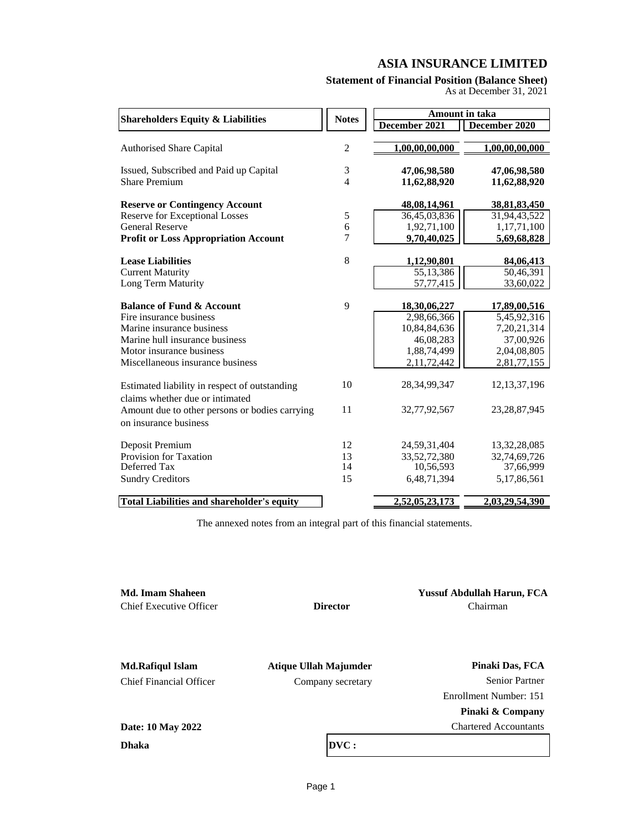## **Statement of Financial Position (Balance Sheet)**

As at December 31, 2021

| <b>Shareholders Equity &amp; Liabilities</b>                                     | <b>Notes</b>   |                 | <b>Amount in taka</b> |
|----------------------------------------------------------------------------------|----------------|-----------------|-----------------------|
|                                                                                  |                | December 2021   | December 2020         |
| <b>Authorised Share Capital</b>                                                  | $\overline{c}$ | 1,00,00,00,000  | 1,00,00,00,000        |
| Issued, Subscribed and Paid up Capital                                           | 3              | 47,06,98,580    | 47,06,98,580          |
| <b>Share Premium</b>                                                             | $\overline{4}$ | 11,62,88,920    | 11,62,88,920          |
| <b>Reserve or Contingency Account</b>                                            |                | 48,08,14,961    | 38, 81, 83, 450       |
| <b>Reserve for Exceptional Losses</b>                                            | $\mathfrak s$  | 36,45,03,836    | 31,94,43,522          |
| <b>General Reserve</b>                                                           | 6              | 1,92,71,100     | 1,17,71,100           |
| <b>Profit or Loss Appropriation Account</b>                                      | 7              | 9,70,40,025     | 5,69,68,828           |
| <b>Lease Liabilities</b>                                                         | 8              | 1,12,90,801     | 84,06,413             |
| <b>Current Maturity</b>                                                          |                | 55,13,386       | 50,46,391             |
| Long Term Maturity                                                               |                | 57,77,415       | 33,60,022             |
| <b>Balance of Fund &amp; Account</b>                                             | 9              | 18,30,06,227    | 17,89,00,516          |
| Fire insurance business                                                          |                | 2,98,66,366     | 5,45,92,316           |
| Marine insurance business                                                        |                | 10,84,84,636    | 7, 20, 21, 314        |
| Marine hull insurance business                                                   |                | 46,08,283       | 37,00,926             |
| Motor insurance business                                                         |                | 1,88,74,499     | 2,04,08,805           |
| Miscellaneous insurance business                                                 |                | 2,11,72,442     | 2,81,77,155           |
| Estimated liability in respect of outstanding<br>claims whether due or intimated | 10             | 28, 34, 99, 347 | 12, 13, 37, 196       |
| Amount due to other persons or bodies carrying<br>on insurance business          | 11             | 32,77,92,567    | 23, 28, 87, 945       |
| Deposit Premium                                                                  | 12             | 24,59,31,404    | 13, 32, 28, 085       |
| Provision for Taxation                                                           | 13             | 33,52,72,380    | 32,74,69,726          |
| Deferred Tax                                                                     | 14             | 10,56,593       | 37,66,999             |
| <b>Sundry Creditors</b>                                                          | 15             | 6,48,71,394     | 5,17,86,561           |
| <b>Total Liabilities and shareholder's equity</b>                                |                | 2,52,05,23,173  | 2,03,29,54,390        |

The annexed notes from an integral part of this financial statements.

| <b>Md. Imam Shaheen</b>        |                       | <b>Yussuf Abdullah Harun, FCA</b> |
|--------------------------------|-----------------------|-----------------------------------|
| <b>Chief Executive Officer</b> | <b>Director</b>       | Chairman                          |
|                                |                       |                                   |
| <b>Md.Rafiqul Islam</b>        | Atique Ullah Majumder | Pinaki Das, FCA                   |
| <b>Chief Financial Officer</b> | Company secretary     | <b>Senior Partner</b>             |
|                                |                       | Enrollment Number: 151            |
|                                |                       | Pinaki & Company                  |
| Date: 10 May 2022              |                       | <b>Chartered Accountants</b>      |
| <b>Dhaka</b>                   | DVC:                  |                                   |
|                                |                       |                                   |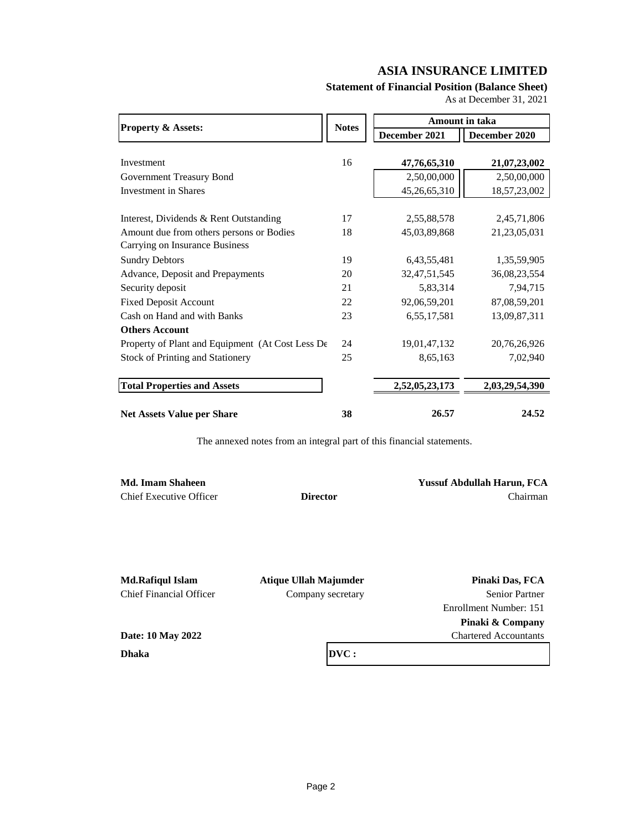## **Statement of Financial Position (Balance Sheet)**

As at December 31, 2021

|                                                  |              | Amount in taka  |                 |
|--------------------------------------------------|--------------|-----------------|-----------------|
| <b>Property &amp; Assets:</b>                    | <b>Notes</b> | December 2021   | December 2020   |
|                                                  |              |                 |                 |
| Investment                                       | 16           | 47,76,65,310    | 21,07,23,002    |
| Government Treasury Bond                         |              | 2,50,00,000     | 2,50,00,000     |
| <b>Investment in Shares</b>                      |              | 45,26,65,310    | 18,57,23,002    |
|                                                  |              |                 |                 |
| Interest, Dividends & Rent Outstanding           | 17           | 2,55,88,578     | 2,45,71,806     |
| Amount due from others persons or Bodies         | 18           | 45,03,89,868    | 21, 23, 05, 031 |
| Carrying on Insurance Business                   |              |                 |                 |
| <b>Sundry Debtors</b>                            | 19           | 6, 43, 55, 481  | 1,35,59,905     |
| Advance, Deposit and Prepayments                 | 20           | 32, 47, 51, 545 | 36,08,23,554    |
| Security deposit                                 | 21           | 5,83,314        | 7,94,715        |
| <b>Fixed Deposit Account</b>                     | 22           | 92,06,59,201    | 87,08,59,201    |
| Cash on Hand and with Banks                      | 23           | 6,55,17,581     | 13,09,87,311    |
| <b>Others Account</b>                            |              |                 |                 |
| Property of Plant and Equipment (At Cost Less De | 24           | 19,01,47,132    | 20,76,26,926    |
| <b>Stock of Printing and Stationery</b>          | 25           | 8,65,163        | 7,02,940        |
| <b>Total Properties and Assets</b>               |              | 2,52,05,23,173  | 2,03,29,54,390  |
| <b>Net Assets Value per Share</b>                | 38           | 26.57           | 24.52           |

The annexed notes from an integral part of this financial statements.

Chief Executive Officer **Director** Chairman

**Md. Imam Shaheen Yussuf Abdullah Harun, FCA**

**Md.Rafiqul Islam Atique Ullah Majumder Pinaki Das, FCA** Chief Financial Officer Company secretary Senior Partner Enrollment Number: 151 **Pinaki & Company** Chartered Accountants

**Dhaka Date: 10 May 2022**

**DVC :**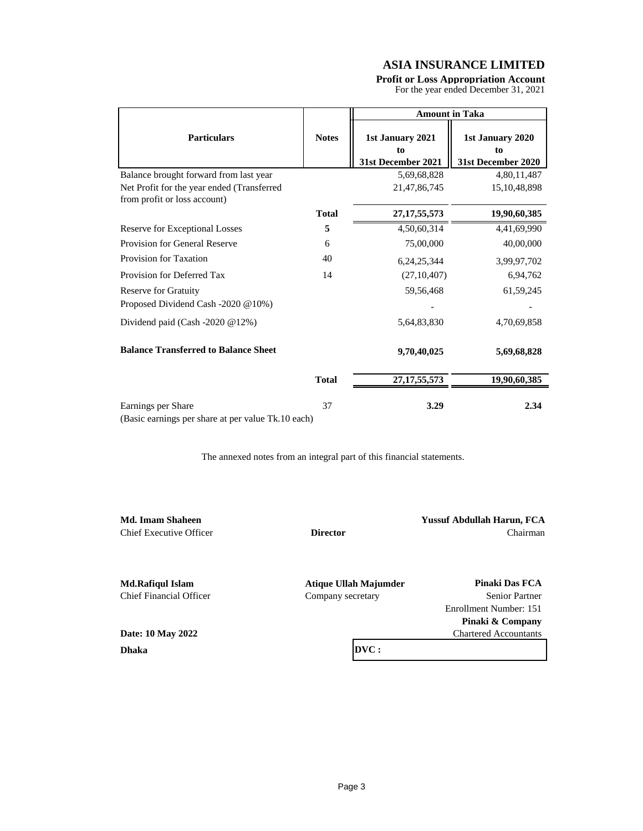## **Profit or Loss Appropriation Account**

For the year ended December 31, 2021

|                                                                            |              | <b>Amount in Taka</b>                        |                                              |  |
|----------------------------------------------------------------------------|--------------|----------------------------------------------|----------------------------------------------|--|
| <b>Particulars</b>                                                         | <b>Notes</b> | 1st January 2021<br>to<br>31st December 2021 | 1st January 2020<br>to<br>31st December 2020 |  |
| Balance brought forward from last year                                     |              | 5,69,68,828                                  | 4,80,11,487                                  |  |
| Net Profit for the year ended (Transferred<br>from profit or loss account) |              | 21, 47, 86, 745                              | 15, 10, 48, 898                              |  |
|                                                                            | <b>Total</b> | 27, 17, 55, 573                              | 19,90,60,385                                 |  |
| Reserve for Exceptional Losses                                             | 5            | 4,50,60,314                                  | 4,41,69,990                                  |  |
| Provision for General Reserve                                              | 6            | 75,00,000                                    | 40,00,000                                    |  |
| Provision for Taxation                                                     | 40           | 6, 24, 25, 344                               | 3,99,97,702                                  |  |
| Provision for Deferred Tax                                                 | 14           | (27, 10, 407)                                | 6,94,762                                     |  |
| <b>Reserve for Gratuity</b><br>Proposed Dividend Cash -2020 @10%)          |              | 59,56,468                                    | 61,59,245                                    |  |
| Dividend paid (Cash -2020 @12%)                                            |              | 5,64,83,830                                  | 4,70,69,858                                  |  |
| <b>Balance Transferred to Balance Sheet</b>                                |              | 9,70,40,025                                  | 5,69,68,828                                  |  |
|                                                                            | <b>Total</b> | 27, 17, 55, 573                              | 19,90,60,385                                 |  |
| Earnings per Share<br>$T1$ 1 $\alpha$                                      | 37           | 3.29                                         | 2.34                                         |  |

(Basic earnings per share at per value Tk.10 each)

The annexed notes from an integral part of this financial statements.

| Md. Imam Shaheen        |                              | <b>Yussuf Abdullah Harun, FCA</b> |
|-------------------------|------------------------------|-----------------------------------|
| Chief Executive Officer | <b>Director</b>              | Chairman                          |
|                         |                              |                                   |
| <b>Md.Rafiqul Islam</b> | <b>Atique Ullah Majumder</b> | Pinaki Das FCA                    |
| Chief Financial Officer | Company secretary            | <b>Senior Partner</b>             |
|                         |                              | Enrollment Number: 151            |
|                         |                              | Pinaki & Company                  |
| Date: 10 May 2022       |                              | <b>Chartered Accountants</b>      |
| <b>Dhaka</b>            | DVC:                         |                                   |
|                         |                              |                                   |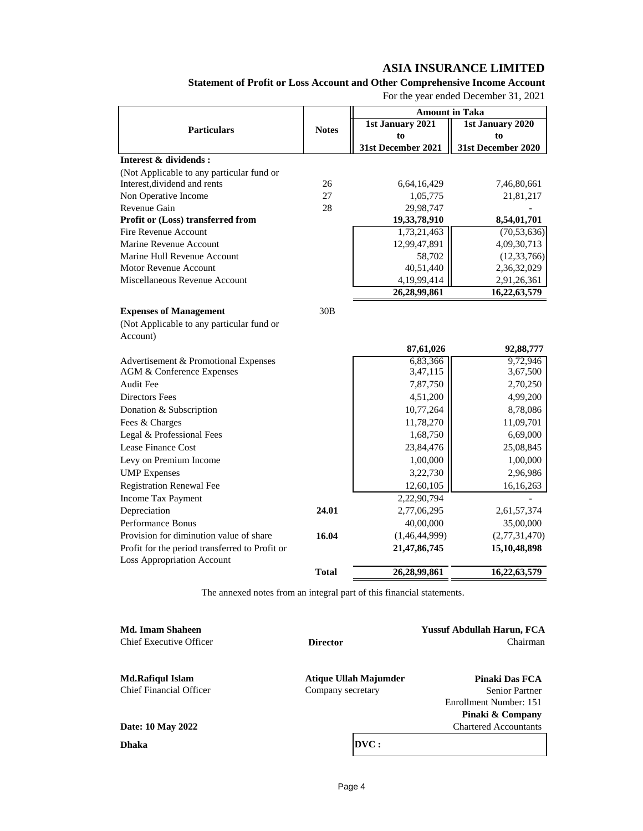**Statement of Profit or Loss Account and Other Comprehensive Income Account**

For the year ended December 31, 2021

|                                                |              | <b>Amount in Taka</b> |                    |
|------------------------------------------------|--------------|-----------------------|--------------------|
| <b>Particulars</b>                             | <b>Notes</b> | 1st January 2021      | 1st January 2020   |
|                                                |              | to                    | to                 |
|                                                |              | 31st December 2021    | 31st December 2020 |
| Interest & dividends:                          |              |                       |                    |
| (Not Applicable to any particular fund or      |              |                       |                    |
| Interest, dividend and rents                   | 26           | 6,64,16,429           | 7,46,80,661        |
| Non Operative Income                           | 27           | 1,05,775              | 21,81,217          |
| Revenue Gain                                   | 28           | 29,98,747             |                    |
| Profit or (Loss) transferred from              |              | 19,33,78,910          | 8,54,01,701        |
| Fire Revenue Account                           |              | 1,73,21,463           | (70, 53, 636)      |
| Marine Revenue Account                         |              | 12,99,47,891          | 4,09,30,713        |
| Marine Hull Revenue Account                    |              | 58,702                | (12, 33, 766)      |
| Motor Revenue Account                          |              | 40,51,440             | 2,36,32,029        |
| Miscellaneous Revenue Account                  |              | 4,19,99,414           | 2,91,26,361        |
|                                                |              | 26,28,99,861          | 16,22,63,579       |
| <b>Expenses of Management</b>                  | 30B          |                       |                    |
| (Not Applicable to any particular fund or      |              |                       |                    |
| Account)                                       |              |                       |                    |
|                                                |              | 87,61,026             | 92,88,777          |
| Advertisement & Promotional Expenses           |              | 6,83,366              | 9,72,946           |
| <b>AGM &amp; Conference Expenses</b>           |              | 3,47,115              | 3,67,500           |
| <b>Audit Fee</b>                               |              | 7,87,750              | 2,70,250           |
| <b>Directors Fees</b>                          |              | 4,51,200              | 4,99,200           |
| Donation & Subscription                        |              | 10,77,264             | 8,78,086           |
| Fees & Charges                                 |              | 11,78,270             | 11,09,701          |
| Legal & Professional Fees                      |              | 1,68,750              | 6,69,000           |
| Lease Finance Cost                             |              | 23,84,476             | 25,08,845          |
| Levy on Premium Income                         |              | 1,00,000              | 1,00,000           |
| <b>UMP</b> Expenses                            |              | 3,22,730              | 2,96,986           |
| <b>Registration Renewal Fee</b>                |              | 12,60,105             | 16,16,263          |
| Income Tax Payment                             |              | 2,22,90,794           |                    |
| Depreciation                                   | 24.01        | 2,77,06,295           | 2,61,57,374        |
| <b>Performance Bonus</b>                       |              | 40,00,000             | 35,00,000          |
| Provision for diminution value of share        | 16.04        | (1,46,44,999)         | (2,77,31,470)      |
| Profit for the period transferred to Profit or |              | 21,47,86,745          | 15,10,48,898       |
| <b>Loss Appropriation Account</b>              |              |                       |                    |
|                                                | <b>Total</b> | 26,28,99,861          | 16,22,63,579       |

The annexed notes from an integral part of this financial statements.

| Md. Imam Shaheen        |                       | <b>Yussuf Abdullah Harun, FCA</b> |
|-------------------------|-----------------------|-----------------------------------|
| Chief Executive Officer | <b>Director</b>       | Chairman                          |
| Md.Rafiqul Islam        | Atique Ullah Majumder | Pinaki Das FCA                    |
| Chief Financial Officer | Company secretary     | <b>Senior Partner</b>             |
|                         |                       | Enrollment Number: 151            |
|                         |                       | Pinaki & Company                  |
| Date: 10 May 2022       |                       | <b>Chartered Accountants</b>      |
| Dhaka                   | DVC:                  |                                   |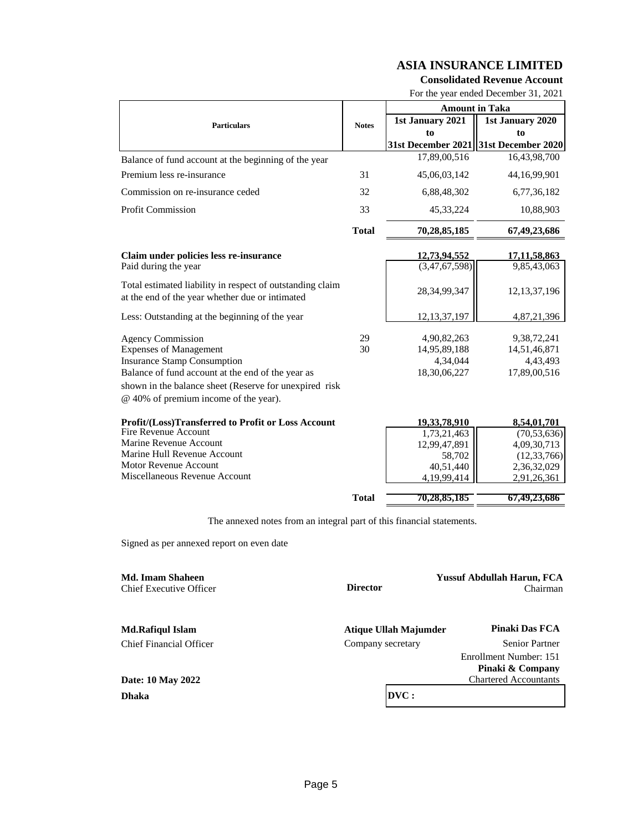#### **Consolidated Revenue Account**

For the year ended December 31, 2021

|                                                                                                              |              | <b>Amount in Taka</b> |                    |
|--------------------------------------------------------------------------------------------------------------|--------------|-----------------------|--------------------|
| <b>Particulars</b>                                                                                           | <b>Notes</b> | 1st January 2021      | 1st January 2020   |
|                                                                                                              |              | to                    | to                 |
|                                                                                                              |              | 31st December 2021    | 31st December 2020 |
| Balance of fund account at the beginning of the year                                                         |              | 17,89,00,516          | 16,43,98,700       |
| Premium less re-insurance                                                                                    | 31           | 45,06,03,142          | 44, 16, 99, 901    |
| Commission on re-insurance ceded                                                                             | 32           | 6,88,48,302           | 6,77,36,182        |
| <b>Profit Commission</b>                                                                                     | 33           | 45, 33, 224           | 10,88,903          |
|                                                                                                              | <b>Total</b> | 70,28,85,185          | 67,49,23,686       |
| Claim under policies less re-insurance                                                                       |              | 12,73,94,552          | 17,11,58,863       |
| Paid during the year                                                                                         |              | (3,47,67,598)         | 9,85,43,063        |
| Total estimated liability in respect of outstanding claim<br>at the end of the year whether due or intimated |              | 28, 34, 99, 347       | 12, 13, 37, 196    |
| Less: Outstanding at the beginning of the year                                                               |              | 12, 13, 37, 197       | 4,87,21,396        |
| <b>Agency Commission</b>                                                                                     | 29           | 4,90,82,263           | 9,38,72,241        |
| <b>Expenses of Management</b>                                                                                | 30           | 14,95,89,188          | 14,51,46,871       |
| <b>Insurance Stamp Consumption</b>                                                                           |              | 4,34,044              | 4,43,493           |
| Balance of fund account at the end of the year as                                                            |              | 18,30,06,227          | 17,89,00,516       |
| shown in the balance sheet (Reserve for unexpired risk<br>@ 40% of premium income of the year).              |              |                       |                    |
| Profit/(Loss)Transferred to Profit or Loss Account                                                           |              | 19,33,78,910          | 8,54,01,701        |
| Fire Revenue Account                                                                                         |              | 1,73,21,463           | (70, 53, 636)      |
| Marine Revenue Account                                                                                       |              | 12,99,47,891          | 4,09,30,713        |
| Marine Hull Revenue Account                                                                                  |              | 58,702                | (12, 33, 766)      |
| <b>Motor Revenue Account</b>                                                                                 |              | 40,51,440             | 2,36,32,029        |
| Miscellaneous Revenue Account                                                                                |              | 4,19,99,414           | 2,91,26,361        |
|                                                                                                              | <b>Total</b> | 70,28,85,185          | 67,49,23,686       |

The annexed notes from an integral part of this financial statements.

Signed as per annexed report on even date

| Md. Imam Shaheen<br>Chief Executive Officer | <b>Director</b>       | <b>Yussuf Abdullah Harun, FCA</b><br>Chairman |
|---------------------------------------------|-----------------------|-----------------------------------------------|
| <b>Md.Rafiqul Islam</b>                     | Atique Ullah Majumder | <b>Pinaki Das FCA</b>                         |
| Chief Financial Officer                     | Company secretary     | <b>Senior Partner</b>                         |
|                                             |                       | Enrollment Number: 151                        |
|                                             |                       | Pinaki & Company                              |
| Date: 10 May 2022                           |                       | <b>Chartered Accountants</b>                  |
| Dhaka                                       | DVC:                  |                                               |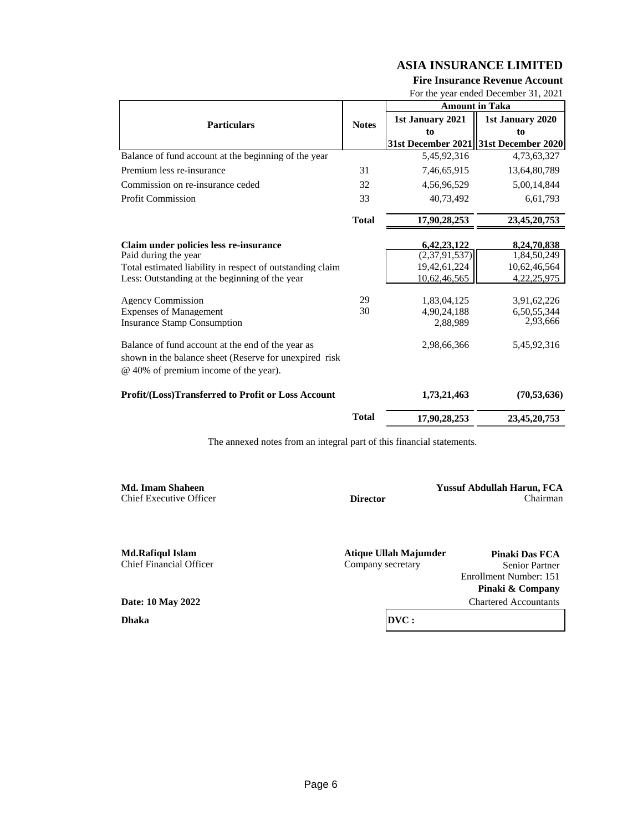#### **Fire Insurance Revenue Account**

For the year ended December 31, 2021

|                                                                                                                                                      |              |                    | <b>Amount in Taka</b> |
|------------------------------------------------------------------------------------------------------------------------------------------------------|--------------|--------------------|-----------------------|
| <b>Particulars</b>                                                                                                                                   | <b>Notes</b> | 1st January 2021   | 1st January 2020      |
|                                                                                                                                                      |              | to                 | to                    |
|                                                                                                                                                      |              | 31st December 2021 | 31st December 2020    |
| Balance of fund account at the beginning of the year                                                                                                 |              | 5,45,92,316        | 4,73,63,327           |
| Premium less re-insurance                                                                                                                            | 31           | 7,46,65,915        | 13,64,80,789          |
| Commission on re-insurance ceded                                                                                                                     | 32           | 4,56,96,529        | 5,00,14,844           |
| <b>Profit Commission</b>                                                                                                                             | 33           | 40.73.492          | 6,61,793              |
|                                                                                                                                                      | <b>Total</b> | 17,90,28,253       | 23,45,20,753          |
| Claim under policies less re-insurance                                                                                                               |              | 6,42,23,122        | 8,24,70,838           |
| Paid during the year                                                                                                                                 |              | (2,37,91,537)      | 1,84,50,249           |
| Total estimated liability in respect of outstanding claim                                                                                            |              | 19,42,61,224       | 10,62,46,564          |
| Less: Outstanding at the beginning of the year                                                                                                       |              | 10,62,46,565       | 4,22,25,975           |
| <b>Agency Commission</b>                                                                                                                             | 29           | 1,83,04,125        | 3,91,62,226           |
| <b>Expenses of Management</b>                                                                                                                        | 30           | 4,90,24,188        | 6,50,55,344           |
| <b>Insurance Stamp Consumption</b>                                                                                                                   |              | 2,88,989           | 2,93,666              |
| Balance of fund account at the end of the year as<br>shown in the balance sheet (Reserve for unexpired risk<br>@ 40% of premium income of the year). |              | 2,98,66,366        | 5,45,92,316           |
| <b>Profit/(Loss)Transferred to Profit or Loss Account</b>                                                                                            |              | 1,73,21,463        | (70, 53, 636)         |
|                                                                                                                                                      | <b>Total</b> | 17,90,28,253       | 23,45,20,753          |

The annexed notes from an integral part of this financial statements.

**Md. Imam Shaheen Yussuf Abdullah Harun, FCA** Chief Executive Officer **Director** Chairman

Chief Financial Officer

**Md.Rafiqul Islam Atique Ullah Majumder Pinaki Das FCA**<br> **Company secretary Pinaki Das FCA**<br> **Pinaki Das FCA**<br> **Pinaki Das FCA** 

Enrollment Number: 151 **Pinaki & Company** Chartered Accountants

**Date: 10 May 2022**

**Dhaka**

**DVC :**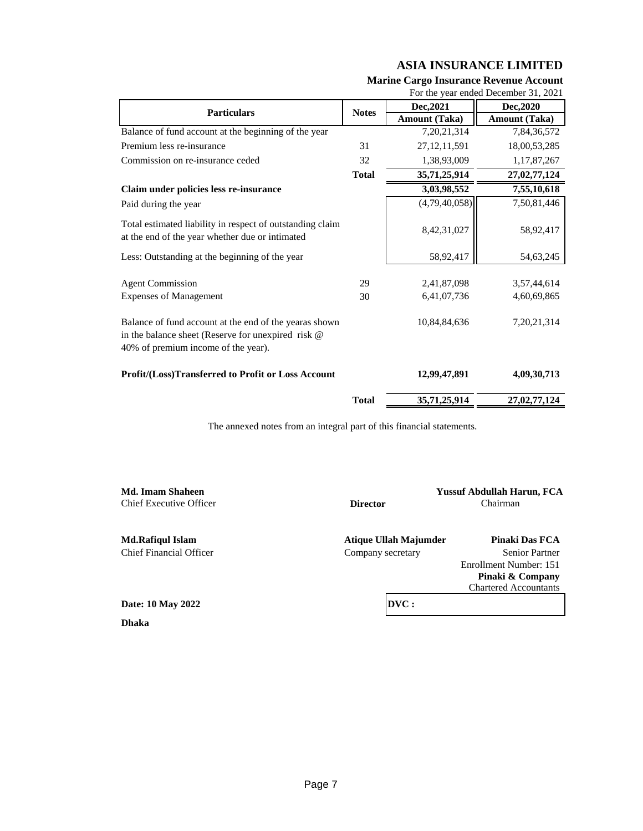|                                                                                                                                                     |              |                      | For the year ended December 31, 2021 |
|-----------------------------------------------------------------------------------------------------------------------------------------------------|--------------|----------------------|--------------------------------------|
| <b>Particulars</b>                                                                                                                                  |              | Dec, 2021            | Dec, 2020                            |
|                                                                                                                                                     | <b>Notes</b> | <b>Amount (Taka)</b> | <b>Amount (Taka)</b>                 |
| Balance of fund account at the beginning of the year                                                                                                |              | 7,20,21,314          | 7,84,36,572                          |
| Premium less re-insurance                                                                                                                           | 31           | 27, 12, 11, 591      | 18,00,53,285                         |
| Commission on re-insurance ceded                                                                                                                    | 32           | 1,38,93,009          | 1,17,87,267                          |
|                                                                                                                                                     | <b>Total</b> | 35,71,25,914         | 27,02,77,124                         |
| Claim under policies less re-insurance                                                                                                              |              | 3,03,98,552          | 7,55,10,618                          |
| Paid during the year                                                                                                                                |              | (4,79,40,058)        | 7,50,81,446                          |
| Total estimated liability in respect of outstanding claim<br>at the end of the year whether due or intimated                                        |              | 8,42,31,027          | 58,92,417                            |
| Less: Outstanding at the beginning of the year                                                                                                      |              | 58,92,417            | 54,63,245                            |
| <b>Agent Commission</b>                                                                                                                             | 29           | 2,41,87,098          | 3,57,44,614                          |
| <b>Expenses of Management</b>                                                                                                                       | 30           | 6,41,07,736          | 4,60,69,865                          |
| Balance of fund account at the end of the yearas shown<br>in the balance sheet (Reserve for unexpired risk @<br>40% of premium income of the year). |              | 10,84,84,636         | 7, 20, 21, 314                       |
| Profit/(Loss)Transferred to Profit or Loss Account                                                                                                  |              | 12,99,47,891         | 4,09,30,713                          |
|                                                                                                                                                     | <b>Total</b> | 35,71,25,914         | 27,02,77,124                         |

## **Marine Cargo Insurance Revenue Account**

The annexed notes from an integral part of this financial statements.

| Md. Imam Shaheen        |                       | <b>Yussuf Abdullah Harun, FCA</b> |
|-------------------------|-----------------------|-----------------------------------|
| Chief Executive Officer | <b>Director</b>       | Chairman                          |
| <b>Md.Rafiqul Islam</b> | Atique Ullah Majumder | Pinaki Das FCA                    |
| Chief Financial Officer | Company secretary     | <b>Senior Partner</b>             |
|                         |                       | Enrollment Number: 151            |
|                         |                       | Pinaki & Company                  |
|                         |                       | <b>Chartered Accountants</b>      |
| Date: 10 May 2022       | DVC:                  |                                   |
| <b>Dhaka</b>            |                       |                                   |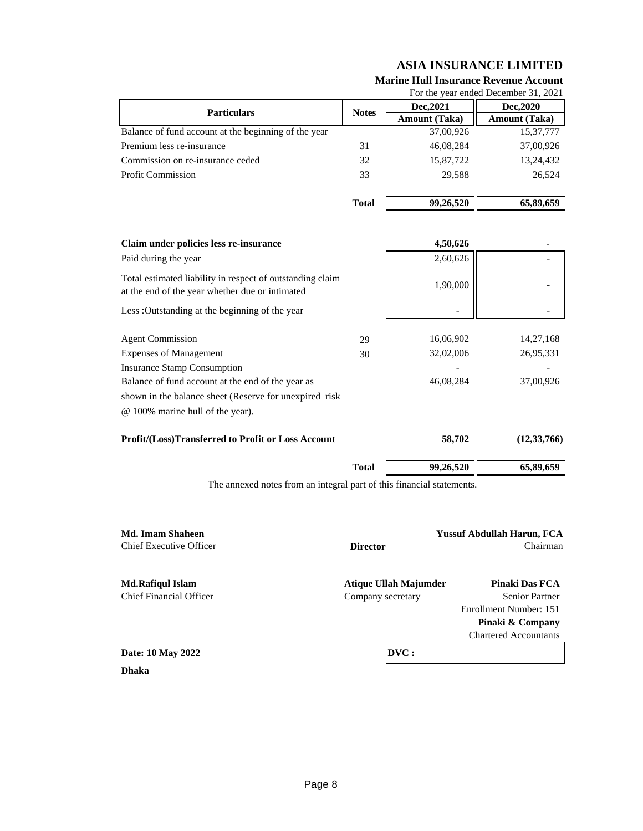| For the year ended December 31, 2021                 |              |                      |                      |
|------------------------------------------------------|--------------|----------------------|----------------------|
| <b>Particulars</b>                                   | <b>Notes</b> | Dec, 2021            | Dec, 2020            |
|                                                      |              | <b>Amount</b> (Taka) | <b>Amount</b> (Taka) |
| Balance of fund account at the beginning of the year |              | 37,00,926            | 15,37,777            |
| Premium less re-insurance                            | 31           | 46,08,284            | 37,00,926            |
| Commission on re-insurance ceded                     | 32           | 15,87,722            | 13,24,432            |
| <b>Profit Commission</b>                             | 33           | 29.588               | 26.524               |
|                                                      | <b>Total</b> | 99,26,520            | 65,89,659            |

## **Marine Hull Insurance Revenue Account**

| Claim under policies less re-insurance                                                                       |              | 4,50,626  |               |
|--------------------------------------------------------------------------------------------------------------|--------------|-----------|---------------|
| Paid during the year                                                                                         |              | 2,60,626  |               |
| Total estimated liability in respect of outstanding claim<br>at the end of the year whether due or intimated |              | 1,90,000  |               |
| Less: Outstanding at the beginning of the year                                                               |              |           |               |
| <b>Agent Commission</b>                                                                                      | 29           | 16,06,902 | 14,27,168     |
| <b>Expenses of Management</b>                                                                                | 30           | 32,02,006 | 26,95,331     |
| <b>Insurance Stamp Consumption</b>                                                                           |              |           |               |
| Balance of fund account at the end of the year as                                                            |              | 46,08,284 | 37,00,926     |
| shown in the balance sheet (Reserve for unexpired risk                                                       |              |           |               |
| @ 100% marine hull of the year).                                                                             |              |           |               |
| <b>Profit/(Loss)Transferred to Profit or Loss Account</b>                                                    |              | 58,702    | (12, 33, 766) |
|                                                                                                              | <b>Total</b> | 99,26,520 | 65,89,659     |

The annexed notes from an integral part of this financial statements.

| Md. Imam Shaheen<br><b>Chief Executive Officer</b> | <b>Director</b>       | <b>Yussuf Abdullah Harun, FCA</b><br>Chairman |
|----------------------------------------------------|-----------------------|-----------------------------------------------|
| Md.Rafiqul Islam                                   | Atique Ullah Majumder | Pinaki Das FCA                                |
| Chief Financial Officer                            | Company secretary     | <b>Senior Partner</b>                         |
|                                                    |                       | Enrollment Number: 151                        |
|                                                    |                       | Pinaki & Company                              |
|                                                    |                       | <b>Chartered Accountants</b>                  |
| Date: 10 May 2022                                  | DVC:                  |                                               |
| <b>Dhaka</b>                                       |                       |                                               |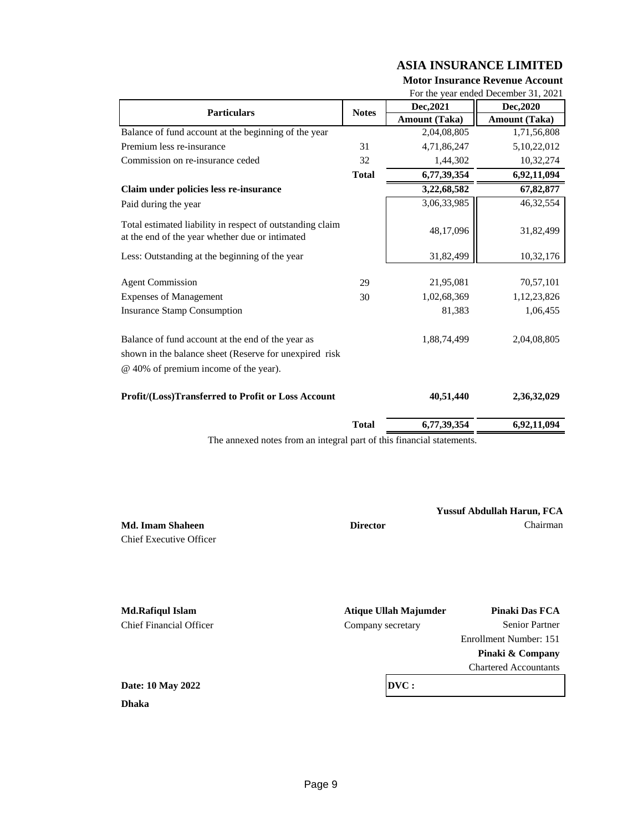## **Motor Insurance Revenue Account**

**Total 6,77,39,354 6,92,11,094**

**Yussuf Abdullah Harun, FCA**

|                                                                                                                                                      |              | For the year ended December 31, 2021 |                      |
|------------------------------------------------------------------------------------------------------------------------------------------------------|--------------|--------------------------------------|----------------------|
| <b>Particulars</b>                                                                                                                                   | <b>Notes</b> | Dec, 2021                            | Dec, 2020            |
|                                                                                                                                                      |              | <b>Amount (Taka)</b>                 | <b>Amount (Taka)</b> |
| Balance of fund account at the beginning of the year                                                                                                 |              | 2,04,08,805                          | 1,71,56,808          |
| Premium less re-insurance                                                                                                                            | 31           | 4,71,86,247                          | 5,10,22,012          |
| Commission on re-insurance ceded                                                                                                                     | 32           | 1,44,302                             | 10,32,274            |
|                                                                                                                                                      | <b>Total</b> | 6,77,39,354                          | 6,92,11,094          |
| Claim under policies less re-insurance                                                                                                               |              | 3,22,68,582                          | 67,82,877            |
| Paid during the year                                                                                                                                 |              | 3,06,33,985                          | 46, 32, 554          |
| Total estimated liability in respect of outstanding claim<br>at the end of the year whether due or intimated                                         |              | 48,17,096                            | 31,82,499            |
| Less: Outstanding at the beginning of the year                                                                                                       |              | 31,82,499                            | 10,32,176            |
|                                                                                                                                                      |              |                                      |                      |
| <b>Agent Commission</b>                                                                                                                              | 29           | 21,95,081                            | 70,57,101            |
| <b>Expenses of Management</b>                                                                                                                        | 30           | 1,02,68,369                          | 1,12,23,826          |
| <b>Insurance Stamp Consumption</b>                                                                                                                   |              | 81,383                               | 1,06,455             |
| Balance of fund account at the end of the year as<br>shown in the balance sheet (Reserve for unexpired risk<br>@ 40% of premium income of the year). |              | 1,88,74,499                          | 2,04,08,805          |
| Profit/(Loss)Transferred to Profit or Loss Account                                                                                                   |              | 40,51,440                            | 2,36,32,029          |

The annexed notes from an integral part of this financial statements.

**Md. Imam Shaheen Director Director Chairman** Chief Executive Officer

**Md.Rafiqul Islam Atique Ullah Majumder Pinaki Das FCA** Chief Financial Officer Company secretary Senior Partner Enrollment Number: 151 **Pinaki & Company** Chartered Accountants **Date: 10 May 2022 Dhaka DVC :**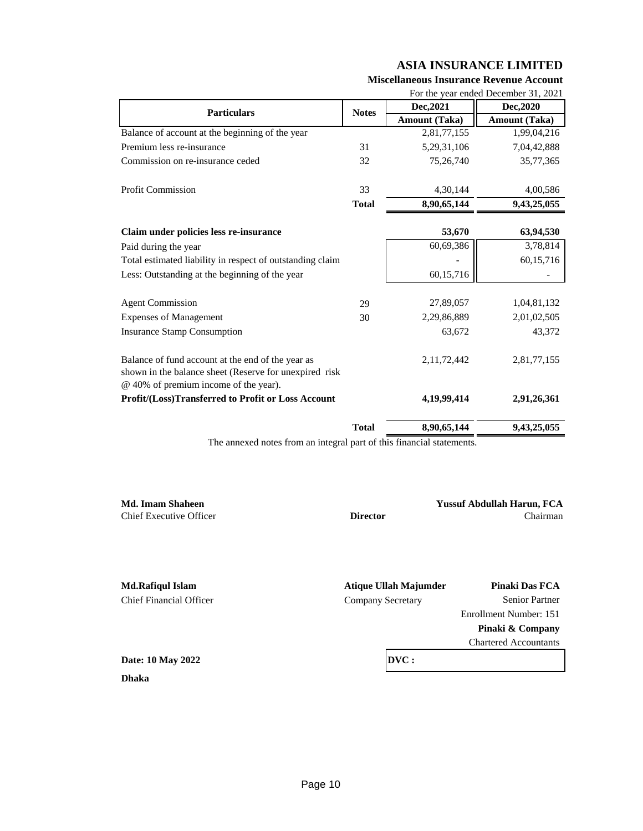**Miscellaneous Insurance Revenue Account**

|                                                                                                                                                      |              |                      | For the year ended December 31, 2021 |
|------------------------------------------------------------------------------------------------------------------------------------------------------|--------------|----------------------|--------------------------------------|
| <b>Particulars</b>                                                                                                                                   | <b>Notes</b> | Dec, 2021            | Dec, 2020                            |
|                                                                                                                                                      |              | <b>Amount (Taka)</b> | <b>Amount</b> (Taka)                 |
| Balance of account at the beginning of the year                                                                                                      |              | 2,81,77,155          | 1,99,04,216                          |
| Premium less re-insurance                                                                                                                            | 31           | 5,29,31,106          | 7,04,42,888                          |
| Commission on re-insurance ceded                                                                                                                     | 32           | 75,26,740            | 35,77,365                            |
| <b>Profit Commission</b>                                                                                                                             | 33           |                      |                                      |
|                                                                                                                                                      |              | 4,30,144             | 4,00,586                             |
|                                                                                                                                                      | <b>Total</b> | 8,90,65,144          | 9,43,25,055                          |
| Claim under policies less re-insurance                                                                                                               |              | 53,670               | 63,94,530                            |
| Paid during the year                                                                                                                                 |              | 60,69,386            | 3,78,814                             |
| Total estimated liability in respect of outstanding claim                                                                                            |              |                      | 60,15,716                            |
| Less: Outstanding at the beginning of the year                                                                                                       |              | 60,15,716            |                                      |
|                                                                                                                                                      |              |                      |                                      |
| <b>Agent Commission</b>                                                                                                                              | 29           | 27,89,057            | 1,04,81,132                          |
| <b>Expenses of Management</b>                                                                                                                        | 30           | 2,29,86,889          | 2,01,02,505                          |
| <b>Insurance Stamp Consumption</b>                                                                                                                   |              | 63,672               | 43,372                               |
| Balance of fund account at the end of the year as<br>shown in the balance sheet (Reserve for unexpired risk<br>@ 40% of premium income of the year). |              | 2, 11, 72, 442       | 2,81,77,155                          |
| Profit/(Loss)Transferred to Profit or Loss Account                                                                                                   |              | 4,19,99,414          | 2,91,26,361                          |
|                                                                                                                                                      | <b>Total</b> | 8,90,65,144          | 9,43,25,055                          |

The annexed notes from an integral part of this financial statements.

**Md. Imam Shaheen Yussuf Abdullah Harun, FCA** Chief Executive Officer **Director** Chairman

**Md.Rafiqul Islam Atique Ullah Majumder Pinaki Das FCA** Chief Financial Officer Company Secretary Senior Partner

Enrollment Number: 151 **Pinaki & Company**

Chartered Accountants

**Dhaka Date: 10 May 2022** **DVC :**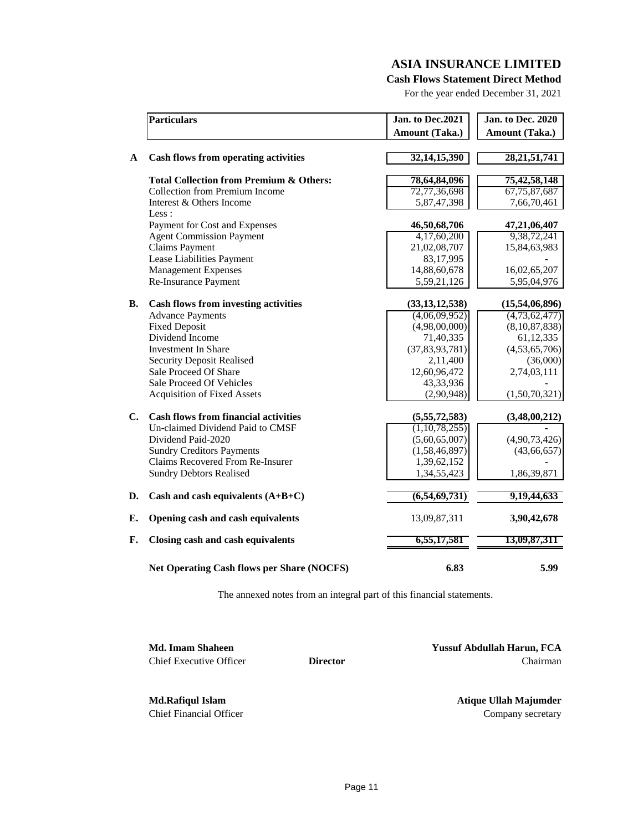**Cash Flows Statement Direct Method**

For the year ended December 31, 2021

|               | <b>Particulars</b>                                 | Jan. to Dec.2021  | <b>Jan. to Dec. 2020</b> |
|---------------|----------------------------------------------------|-------------------|--------------------------|
|               |                                                    | Amount (Taka.)    | Amount (Taka.)           |
| A             | <b>Cash flows from operating activities</b>        | 32, 14, 15, 390   | 28, 21, 51, 741          |
|               | <b>Total Collection from Premium &amp; Others:</b> | 78,64,84,096      | 75,42,58,148             |
|               | <b>Collection from Premium Income</b>              | 72,77,36,698      | 67, 75, 87, 687          |
|               | Interest & Others Income                           | 5,87,47,398       | 7,66,70,461              |
|               | Less :                                             |                   |                          |
|               | Payment for Cost and Expenses                      | 46,50,68,706      | 47,21,06,407             |
|               | <b>Agent Commission Payment</b>                    | 4,17,60,200       | 9,38,72,241              |
|               | <b>Claims Payment</b>                              | 21,02,08,707      | 15,84,63,983             |
|               | Lease Liabilities Payment                          | 83,17,995         |                          |
|               | <b>Management Expenses</b>                         | 14,88,60,678      | 16,02,65,207             |
|               | Re-Insurance Payment                               | 5,59,21,126       | 5,95,04,976              |
| <b>B.</b>     | <b>Cash flows from investing activities</b>        | (33, 13, 12, 538) | (15,54,06,896)           |
|               | <b>Advance Payments</b>                            | (4,06,09,952)     | (4,73,62,477)            |
|               | <b>Fixed Deposit</b>                               | (4,98,00,000)     | (8,10,87,838)            |
|               | Dividend Income                                    | 71,40,335         | 61, 12, 335              |
|               | <b>Investment In Share</b>                         | (37, 83, 93, 781) | (4,53,65,706)            |
|               | <b>Security Deposit Realised</b>                   | 2,11,400          | (36,000)                 |
|               | Sale Proceed Of Share                              | 12,60,96,472      | 2,74,03,111              |
|               | Sale Proceed Of Vehicles                           | 43,33,936         |                          |
|               | <b>Acquisition of Fixed Assets</b>                 | (2,90,948)        | (1,50,70,321)            |
| $C_{\bullet}$ | <b>Cash flows from financial activities</b>        | (5,55,72,583)     | (3,48,00,212)            |
|               | Un-claimed Dividend Paid to CMSF                   | (1,10,78,255)     |                          |
|               | Dividend Paid-2020                                 | (5,60,65,007)     | (4,90,73,426)            |
|               | <b>Sundry Creditors Payments</b>                   | (1,58,46,897)     | (43, 66, 657)            |
|               | Claims Recovered From Re-Insurer                   | 1,39,62,152       |                          |
|               | <b>Sundry Debtors Realised</b>                     | 1,34,55,423       | 1,86,39,871              |
| D.            | Cash and cash equivalents $(A+B+C)$                | (6,54,69,731)     | 9, 19, 44, 633           |
| E.            | Opening cash and cash equivalents                  | 13,09,87,311      | 3,90,42,678              |
| F.            | Closing cash and cash equivalents                  | 6,55,17,581       | 13,09,87,311             |
|               | Net Operating Cash flows per Share (NOCFS)         | 6.83              | 5.99                     |

The annexed notes from an integral part of this financial statements.

**Md. Imam Shaheen Yussuf Abdullah Harun, FCA** Chief Executive Officer **Director** Chairman

**Md.Rafiqul Islam Atique Ullah Majumder** Chief Financial Officer Company secretary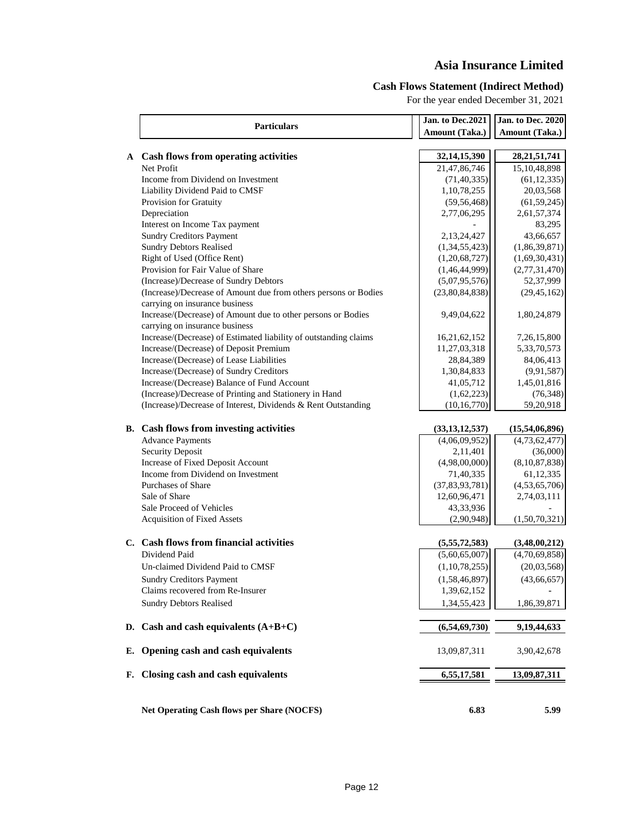# **Asia Insurance Limited**

## **Cash Flows Statement (Indirect Method)**

For the year ended December 31, 2021

|    |                                                                                                   | Jan. to Dec.2021  | <b>Jan. to Dec. 2020</b> |
|----|---------------------------------------------------------------------------------------------------|-------------------|--------------------------|
|    | <b>Particulars</b>                                                                                | Amount (Taka.)    | Amount (Taka.)           |
|    |                                                                                                   |                   |                          |
|    | A Cash flows from operating activities                                                            | 32, 14, 15, 390   | 28, 21, 51, 741          |
|    | Net Profit                                                                                        | 21,47,86,746      | 15,10,48,898             |
|    | Income from Dividend on Investment                                                                | (71, 40, 335)     | (61, 12, 335)            |
|    | Liability Dividend Paid to CMSF                                                                   | 1,10,78,255       | 20,03,568                |
|    | Provision for Gratuity                                                                            | (59, 56, 468)     | (61, 59, 245)            |
|    | Depreciation                                                                                      | 2,77,06,295       | 2,61,57,374              |
|    | Interest on Income Tax payment                                                                    |                   | 83,295                   |
|    | <b>Sundry Creditors Payment</b>                                                                   | 2,13,24,427       | 43,66,657                |
|    | <b>Sundry Debtors Realised</b>                                                                    | (1,34,55,423)     | (1,86,39,871)            |
|    | Right of Used (Office Rent)                                                                       | (1,20,68,727)     | (1,69,30,431)            |
|    | Provision for Fair Value of Share                                                                 | (1,46,44,999)     | (2,77,31,470)            |
|    | (Increase)/Decrease of Sundry Debtors                                                             | (5,07,95,576)     | 52,37,999                |
|    | (Increase)/Decrease of Amount due from others persons or Bodies<br>carrying on insurance business | (23,80,84,838)    | (29, 45, 162)            |
|    | Increase/(Decrease) of Amount due to other persons or Bodies<br>carrying on insurance business    | 9,49,04,622       | 1,80,24,879              |
|    | Increase/(Decrease) of Estimated liability of outstanding claims                                  | 16,21,62,152      | 7,26,15,800              |
|    | Increase/(Decrease) of Deposit Premium                                                            | 11,27,03,318      | 5,33,70,573              |
|    | Increase/(Decrease) of Lease Liabilities                                                          | 28,84,389         | 84,06,413                |
|    | Increase/(Decrease) of Sundry Creditors                                                           | 1,30,84,833       | (9,91,587)               |
|    | Increase/(Decrease) Balance of Fund Account                                                       | 41,05,712         | 1,45,01,816              |
|    | (Increase)/Decrease of Printing and Stationery in Hand                                            | (1,62,223)        | (76, 348)                |
|    | (Increase)/Decrease of Interest, Dividends & Rent Outstanding                                     | (10, 16, 770)     | 59,20,918                |
|    | <b>B.</b> Cash flows from investing activities                                                    | (33, 13, 12, 537) | (15,54,06,896)           |
|    | <b>Advance Payments</b>                                                                           | (4,06,09,952)     | (4,73,62,477)            |
|    | <b>Security Deposit</b>                                                                           | 2,11,401          | (36,000)                 |
|    | Increase of Fixed Deposit Account                                                                 | (4,98,00,000)     | (8,10,87,838)            |
|    | Income from Dividend on Investment                                                                | 71,40,335         | 61,12,335                |
|    | <b>Purchases of Share</b>                                                                         | (37, 83, 93, 781) | (4,53,65,706)            |
|    | Sale of Share                                                                                     | 12,60,96,471      | 2,74,03,111              |
|    | Sale Proceed of Vehicles                                                                          | 43,33,936         |                          |
|    | Acquisition of Fixed Assets                                                                       | (2,90,948)        | (1,50,70,321)            |
|    | C. Cash flows from financial activities                                                           | (5,55,72,583)     | (3,48,00,212)            |
|    | Dividend Paid                                                                                     | (5,60,65,007)     | (4,70,69,858)            |
|    | Un-claimed Dividend Paid to CMSF                                                                  | (1,10,78,255)     | (20,03,568)              |
|    | <b>Sundry Creditors Payment</b>                                                                   | (1,58,46,897)     | (43, 66, 657)            |
|    | Claims recovered from Re-Insurer                                                                  | 1,39,62,152       |                          |
|    | <b>Sundry Debtors Realised</b>                                                                    | 1,34,55,423       | 1,86,39,871              |
| D. | Cash and cash equivalents $(A+B+C)$                                                               | (6,54,69,730)     | 9,19,44,633              |
| Е. | Opening cash and cash equivalents                                                                 | 13,09,87,311      | 3,90,42,678              |
| F. | Closing cash and cash equivalents                                                                 | 6,55,17,581       | 13,09,87,311             |
|    | <b>Net Operating Cash flows per Share (NOCFS)</b>                                                 | 6.83              | 5.99                     |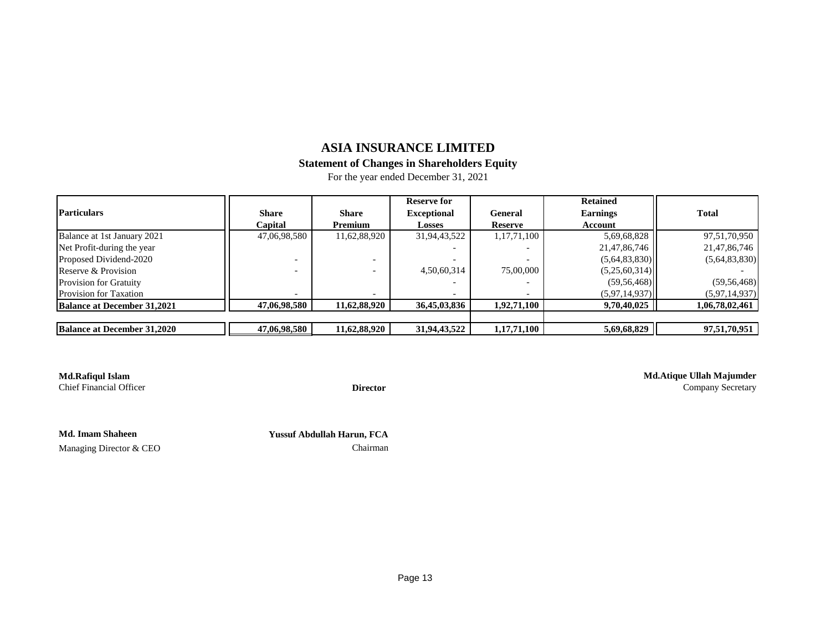## **Statement of Changes in Shareholders Equity**

For the year ended December 31, 2021

|                                    |              |              | <b>Reserve for</b> |                | <b>Retained</b> |                |
|------------------------------------|--------------|--------------|--------------------|----------------|-----------------|----------------|
| <b>Particulars</b>                 | <b>Share</b> | <b>Share</b> | <b>Exceptional</b> | General        | <b>Earnings</b> | <b>Total</b>   |
|                                    | Capital      | Premium      | Losses             | <b>Reserve</b> | Account         |                |
| Balance at 1st January 2021        | 47,06,98,580 | 11,62,88,920 | 31,94,43,522       | 1,17,71,100    | 5,69,68,828     | 97,51,70,950   |
| Net Profit-during the year         |              |              |                    |                | 21,47,86,746    | 21,47,86,746   |
| Proposed Dividend-2020             |              |              |                    |                | (5,64,83,830)   | (5,64,83,830)  |
| Reserve & Provision                |              |              | 4,50,60,314        | 75,00,000      | (5,25,60,314)   |                |
| <b>Provision for Gratuity</b>      |              |              |                    |                | (59, 56, 468)   | (59, 56, 468)  |
| <b>Provision for Taxation</b>      |              |              |                    |                | (5,97,14,937)   | (5,97,14,937)  |
| <b>Balance at December 31,2021</b> | 47,06,98,580 | 11,62,88,920 | 36,45,03,836       | 1,92,71,100    | 9,70,40,025     | 1,06,78,02,461 |
|                                    |              |              |                    |                |                 |                |
| <b>Balance at December 31,2020</b> | 47,06,98,580 | 11,62,88,920 | 31,94,43,522       | 1,17,71,100    | 5,69,68,829     | 97,51,70,951   |

**Md.Rafiqul Islam**<br> **Md.Atique Ullah Majumder**<br> **Director**<br> **Director**<br> **Director**<br> **Company Secretary** Director **Company Secretary** 

**Md. Imam Shaheen** 

 **Yussuf Abdullah Harun, FCA**

Managing Director & CEO Chairman

Page 13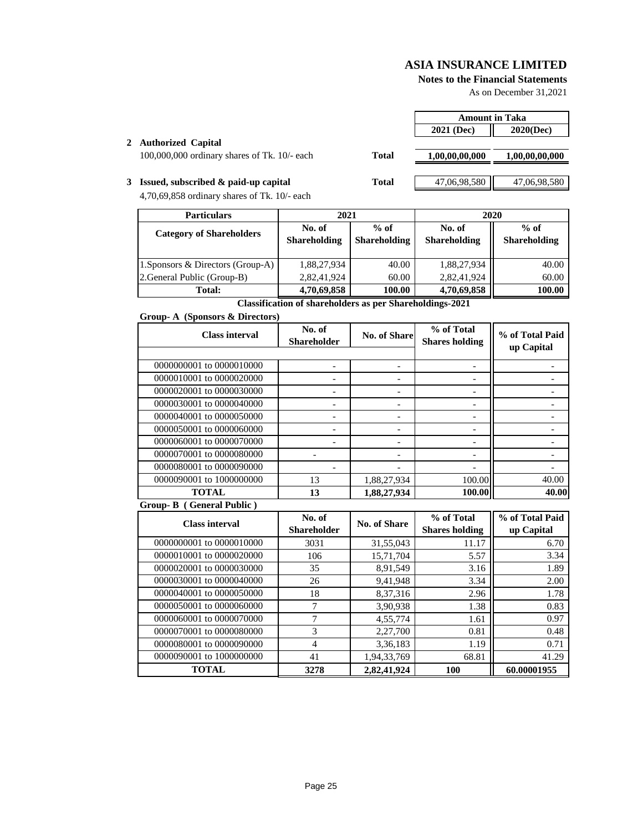r

#### **Notes to the Financial Statements**

As on December 31,2021

|                                                  |       | <b>Amount in Taka</b> |                |
|--------------------------------------------------|-------|-----------------------|----------------|
|                                                  |       | 2021 (Dec)            | $2020$ (Dec)   |
| 2 Authorized Capital                             |       |                       |                |
| $100,000,000$ ordinary shares of Tk. $10/-$ each | Total | 1,00,00,00,000        | 1,00,00,00,000 |
|                                                  |       |                       |                |
| 3 Issued, subscribed $\&$ paid-up capital        | Total | 47,06,98,580          | 47,06,98,580   |

4,70,69,858 ordinary shares of Tk. 10/- each

| <b>Particulars</b>                | 2021                          |                               | 2020                          |                               |
|-----------------------------------|-------------------------------|-------------------------------|-------------------------------|-------------------------------|
| <b>Category of Shareholders</b>   | No. of<br><b>Shareholding</b> | $%$ of<br><b>Shareholding</b> | No. of<br><b>Shareholding</b> | $%$ of<br><b>Shareholding</b> |
| 1. Sponsors & Directors (Group-A) | 1,88,27,934                   | 40.00                         | 1,88,27,934                   | 40.00                         |
| 2. General Public (Group-B)       | 2,82,41,924                   | 60.00                         | 2,82,41,924                   | 60.00                         |
| <b>Total:</b>                     | 4,70,69,858                   | 100.00                        | 4,70,69,858                   | 100.00                        |

**Classification of shareholders as per Shareholdings-2021**

#### **Group- A (Sponsors & Directors)**

| <b>Class interval</b>    | No. of<br><b>Shareholder</b> | <b>No. of Share</b> | % of Total<br><b>Shares holding</b> | % of Total Paid<br>up Capital |
|--------------------------|------------------------------|---------------------|-------------------------------------|-------------------------------|
|                          |                              |                     |                                     |                               |
| 0000000001 to 0000010000 |                              |                     |                                     |                               |
| 0000010001 to 0000020000 |                              |                     |                                     |                               |
| 0000020001 to 0000030000 |                              |                     |                                     |                               |
| 0000030001 to 0000040000 |                              |                     |                                     |                               |
| 0000040001 to 0000050000 |                              |                     |                                     |                               |
| 0000050001 to 0000060000 |                              |                     |                                     |                               |
| 0000060001 to 0000070000 |                              |                     |                                     |                               |
| 0000070001 to 0000080000 |                              |                     |                                     |                               |
| 0000080001 to 0000090000 |                              |                     |                                     |                               |
| 0000090001 to 1000000000 | 13                           | 1,88,27,934         | 100.00                              | 40.00                         |
| <b>TOTAL</b>             | 13                           | 1,88,27,934         | 100.00                              | 40.00                         |

#### **Group- B ( General Public )**

| <b>Class interval</b>    | No. of<br><b>Shareholder</b> | No. of Share | % of Total<br><b>Shares holding</b> | % of Total Paid<br>up Capital |
|--------------------------|------------------------------|--------------|-------------------------------------|-------------------------------|
| 0000000001 to 0000010000 | 3031                         | 31,55,043    | 11.17                               | 6.70                          |
| 0000010001 to 0000020000 | 106                          | 15,71,704    | 5.57                                | 3.34                          |
| 0000020001 to 0000030000 | 35                           | 8,91,549     | 3.16                                | 1.89                          |
| 0000030001 to 0000040000 | 26                           | 9,41,948     | 3.34                                | 2.00                          |
| 0000040001 to 0000050000 | 18                           | 8,37,316     | 2.96                                | 1.78                          |
| 0000050001 to 0000060000 | 7                            | 3,90,938     | 1.38                                | 0.83                          |
| 0000060001 to 0000070000 | 7                            | 4,55,774     | 1.61                                | 0.97                          |
| 0000070001 to 0000080000 | 3                            | 2,27,700     | 0.81                                | 0.48                          |
| 0000080001 to 0000090000 | 4                            | 3,36,183     | 1.19                                | 0.71                          |
| 0000090001 to 1000000000 | 41                           | 1,94,33,769  | 68.81                               | 41.29                         |
| <b>TOTAL</b>             | 3278                         | 2,82,41,924  | 100                                 | 60.00001955                   |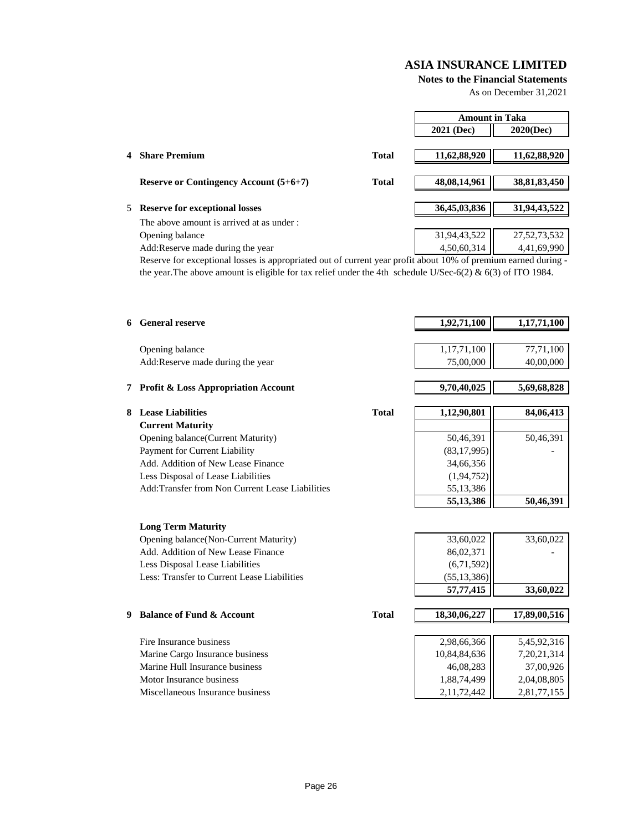**Notes to the Financial Statements**

As on December 31,2021

|   |                                               |              | <b>Amount in Taka</b>       |                 |
|---|-----------------------------------------------|--------------|-----------------------------|-----------------|
|   |                                               |              | 2021 (Dec)                  | $2020$ (Dec)    |
|   |                                               |              |                             |                 |
| 4 | <b>Share Premium</b>                          | <b>Total</b> | 11,62,88,920                | 11,62,88,920    |
|   |                                               |              |                             |                 |
|   | <b>Reserve or Contingency Account (5+6+7)</b> | <b>Total</b> | 48,08,14,961                | 38, 81, 83, 450 |
|   |                                               |              |                             |                 |
|   | 5 Reserve for exceptional losses              |              | 36,45,03,836                | 31,94,43,522    |
|   | The above amount is arrived at as under :     |              |                             |                 |
|   | Opening balance                               |              | 31,94,43,522<br>4,50,60,314 | 27, 52, 73, 532 |
|   | Add: Reserve made during the year             |              |                             | 4,41,69,990     |

Reserve for exceptional losses is appropriated out of current year profit about 10% of premium earned during the year.The above amount is eligible for tax relief under the 4th schedule U/Sec-6(2) & 6(3) of ITO 1984.

|   | <b>6</b> General reserve                                                       |              | 1,92,71,100                | 1,17,71,100    |
|---|--------------------------------------------------------------------------------|--------------|----------------------------|----------------|
|   |                                                                                |              |                            |                |
|   | Opening balance                                                                |              | 1,17,71,100                | 77,71,100      |
|   | Add:Reserve made during the year                                               |              | 75,00,000                  | 40,00,000      |
|   |                                                                                |              |                            |                |
|   | 7 Profit & Loss Appropriation Account                                          |              | 9,70,40,025                | 5,69,68,828    |
| 8 | <b>Lease Liabilities</b>                                                       | <b>Total</b> | 1,12,90,801                | 84,06,413      |
|   | <b>Current Maturity</b>                                                        |              |                            |                |
|   | Opening balance(Current Maturity)                                              |              | 50,46,391                  | 50,46,391      |
|   | Payment for Current Liability                                                  |              | (83, 17, 995)              |                |
|   | Add. Addition of New Lease Finance                                             |              | 34,66,356                  |                |
|   | Less Disposal of Lease Liabilities                                             |              | (1, 94, 752)               |                |
|   | Add: Transfer from Non Current Lease Liabilities                               |              | 55,13,386                  |                |
|   |                                                                                |              | 55,13,386                  | 50,46,391      |
|   |                                                                                |              |                            |                |
|   | <b>Long Term Maturity</b>                                                      |              |                            |                |
|   | Opening balance(Non-Current Maturity)                                          |              | 33,60,022                  | 33,60,022      |
|   | Add. Addition of New Lease Finance                                             |              | 86,02,371                  |                |
|   | Less Disposal Lease Liabilities<br>Less: Transfer to Current Lease Liabilities |              | (6,71,592)                 |                |
|   |                                                                                |              | (55, 13, 386)<br>57,77,415 | 33,60,022      |
|   |                                                                                |              |                            |                |
| 9 | <b>Balance of Fund &amp; Account</b>                                           | <b>Total</b> | 18,30,06,227               | 17,89,00,516   |
|   |                                                                                |              |                            |                |
|   | Fire Insurance business                                                        |              | 2,98,66,366                | 5,45,92,316    |
|   | Marine Cargo Insurance business                                                |              | 10,84,84,636               | 7, 20, 21, 314 |
|   | Marine Hull Insurance business                                                 |              | 46,08,283                  | 37,00,926      |
|   | Motor Insurance business                                                       |              | 1,88,74,499                | 2,04,08,805    |
|   | Miscellaneous Insurance business                                               |              | 2,11,72,442                | 2,81,77,155    |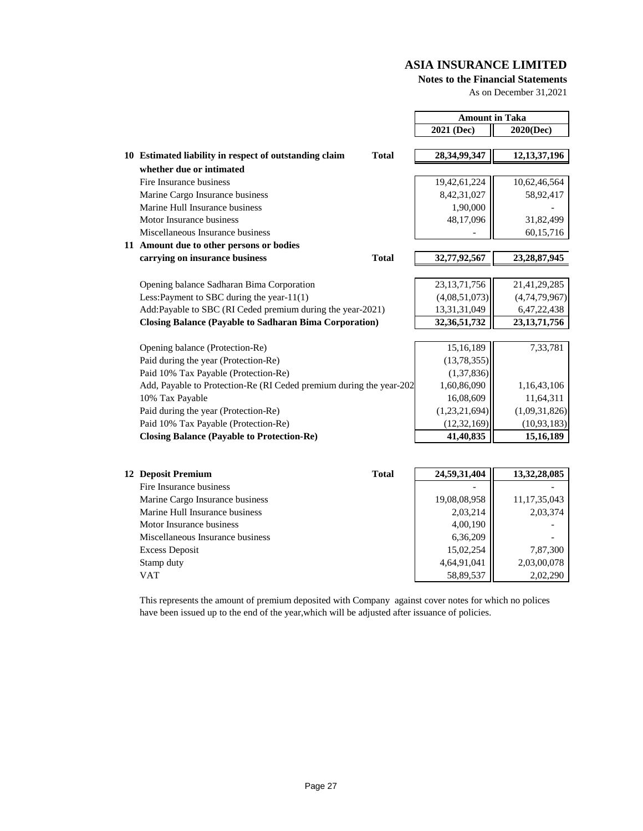#### **Notes to the Financial Statements**

As on December 31,2021

|                                                                     |              | <b>Amount in Taka</b> |                 |
|---------------------------------------------------------------------|--------------|-----------------------|-----------------|
|                                                                     |              | 2021 (Dec)            | 2020(Dec)       |
|                                                                     |              |                       |                 |
| 10 Estimated liability in respect of outstanding claim              | <b>Total</b> | 28, 34, 99, 347       | 12, 13, 37, 196 |
| whether due or intimated                                            |              |                       |                 |
| Fire Insurance business                                             |              | 19,42,61,224          | 10,62,46,564    |
| Marine Cargo Insurance business                                     |              | 8,42,31,027           | 58,92,417       |
| Marine Hull Insurance business                                      |              | 1,90,000              |                 |
| Motor Insurance business                                            |              | 48,17,096             | 31,82,499       |
| Miscellaneous Insurance business                                    |              |                       | 60,15,716       |
| 11 Amount due to other persons or bodies                            |              |                       |                 |
| carrying on insurance business                                      | <b>Total</b> | 32,77,92,567          | 23, 28, 87, 945 |
|                                                                     |              |                       |                 |
| Opening balance Sadharan Bima Corporation                           |              | 23, 13, 71, 756       | 21,41,29,285    |
| Less: Payment to SBC during the year- $11(1)$                       |              | (4,08,51,073)         | (4,74,79,967)   |
| Add:Payable to SBC (RI Ceded premium during the year-2021)          |              | 13,31,31,049          | 6,47,22,438     |
| <b>Closing Balance (Payable to Sadharan Bima Corporation)</b>       |              | 32, 36, 51, 732       | 23, 13, 71, 756 |
|                                                                     |              |                       |                 |
| Opening balance (Protection-Re)                                     |              | 15,16,189             | 7,33,781        |
| Paid during the year (Protection-Re)                                |              | (13, 78, 355)         |                 |
| Paid 10% Tax Payable (Protection-Re)                                |              | (1,37,836)            |                 |
| Add, Payable to Protection-Re (RI Ceded premium during the year-202 |              | 1,60,86,090           | 1,16,43,106     |
| 10% Tax Payable                                                     |              | 16,08,609             | 11,64,311       |
| Paid during the year (Protection-Re)                                |              | (1,23,21,694)         | (1,09,31,826)   |
| Paid 10% Tax Payable (Protection-Re)                                |              | (12, 32, 169)         | (10, 93, 183)   |
| <b>Closing Balance (Payable to Protection-Re)</b>                   |              | 41,40,835             | 15, 16, 189     |

| 12 Deposit Premium               | <b>Total</b> | 24,59,31,404 | 13,32,28,085    |
|----------------------------------|--------------|--------------|-----------------|
| Fire Insurance business          |              |              |                 |
| Marine Cargo Insurance business  |              | 19,08,08,958 | 11, 17, 35, 043 |
| Marine Hull Insurance business   |              | 2,03,214     | 2,03,374        |
| Motor Insurance business         |              | 4,00,190     |                 |
| Miscellaneous Insurance business |              | 6,36,209     |                 |
| <b>Excess Deposit</b>            |              | 15,02,254    | 7,87,300        |
| Stamp duty                       |              | 4,64,91,041  | 2,03,00,078     |
| VAT                              |              | 58,89,537    | 2,02,290        |

This represents the amount of premium deposited with Company against cover notes for which no polices have been issued up to the end of the year,which will be adjusted after issuance of policies.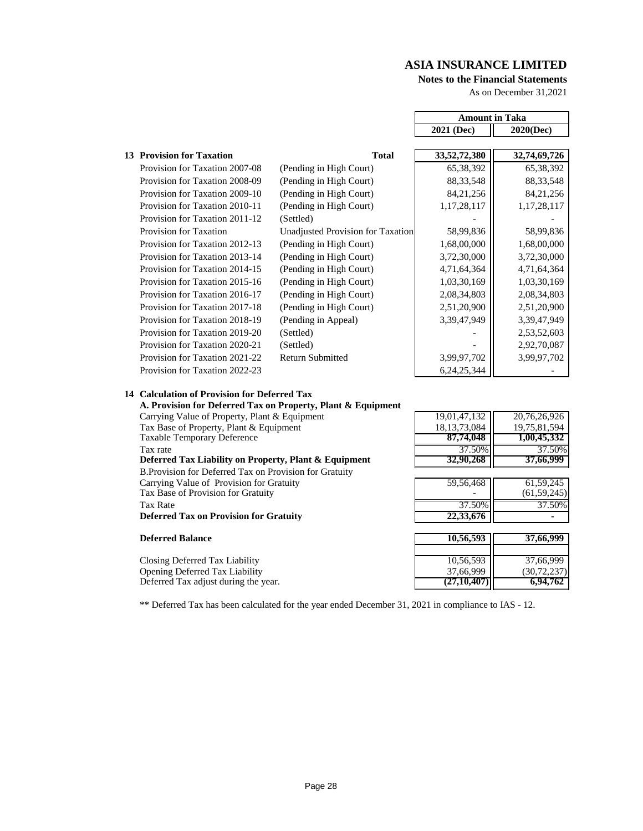$\blacksquare$ 

#### **Notes to the Financial Statements**

As on December 31,2021

 $\overline{\phantom{0}}$ 

|                                |                                   | <b>Amount in Taka</b> |                |
|--------------------------------|-----------------------------------|-----------------------|----------------|
|                                |                                   | 2021 (Dec)            | $2020$ (Dec)   |
|                                |                                   |                       |                |
| 13 Provision for Taxation      | <b>Total</b>                      | 33, 52, 72, 380       | 32,74,69,726   |
| Provision for Taxation 2007-08 | (Pending in High Court)           | 65, 38, 392           | 65, 38, 392    |
| Provision for Taxation 2008-09 | (Pending in High Court)           | 88, 33, 548           | 88, 33, 548    |
| Provision for Taxation 2009-10 | (Pending in High Court)           | 84,21,256             | 84, 21, 256    |
| Provision for Taxation 2010-11 | (Pending in High Court)           | 1,17,28,117           | 1, 17, 28, 117 |
| Provision for Taxation 2011-12 | (Settled)                         |                       |                |
| Provision for Taxation         | Unadjusted Provision for Taxation | 58,99,836             | 58,99,836      |
| Provision for Taxation 2012-13 | (Pending in High Court)           | 1,68,00,000           | 1,68,00,000    |
| Provision for Taxation 2013-14 | (Pending in High Court)           | 3,72,30,000           | 3,72,30,000    |
| Provision for Taxation 2014-15 | (Pending in High Court)           | 4,71,64,364           | 4,71,64,364    |
| Provision for Taxation 2015-16 | (Pending in High Court)           | 1,03,30,169           | 1,03,30,169    |
| Provision for Taxation 2016-17 | (Pending in High Court)           | 2,08,34,803           | 2,08,34,803    |
| Provision for Taxation 2017-18 | (Pending in High Court)           | 2,51,20,900           | 2,51,20,900    |
| Provision for Taxation 2018-19 | (Pending in Appeal)               | 3,39,47,949           | 3,39,47,949    |
| Provision for Taxation 2019-20 | (Settled)                         |                       | 2,53,52,603    |
| Provision for Taxation 2020-21 | (Settled)                         |                       | 2,92,70,087    |
| Provision for Taxation 2021-22 | <b>Return Submitted</b>           | 3,99,97,702           | 3,99,97,702    |
| Provision for Taxation 2022-23 |                                   | 6, 24, 25, 344        |                |

## **14 Calculation of Provision for Deferred Tax**

| A. Provision for Deferred Tax on Property, Plant & Equipment |                           |               |
|--------------------------------------------------------------|---------------------------|---------------|
| Carrying Value of Property, Plant & Equipment                | $19,01,\overline{47,132}$ | 20,76,26,926  |
| Tax Base of Property, Plant & Equipment                      | 18, 13, 73, 084           | 19,75,81,594  |
| <b>Taxable Temporary Deference</b>                           | 87,74,048                 | 1,00,45,332   |
| Tax rate                                                     | 37.50%                    | 37.50%        |
| Deferred Tax Liability on Property, Plant & Equipment        | 32,90,268                 | 37,66,999     |
| B. Provision for Deferred Tax on Provision for Gratuity      |                           |               |
| Carrying Value of Provision for Gratuity                     | 59,56,468                 | 61, 59, 245   |
| Tax Base of Provision for Gratuity                           |                           | (61, 59, 245) |
| Tax Rate                                                     | 37.50%                    | 37.50%        |
| <b>Deferred Tax on Provision for Gratuity</b>                | 22,33,676                 |               |
| <b>Deferred Balance</b>                                      | 10,56,593                 | 37,66,999     |
|                                                              |                           |               |
| Closing Deferred Tax Liability                               | 10,56,593                 | 37,66,999     |
| <b>Opening Deferred Tax Liability</b>                        | 37,66,999                 | (30,72,237)   |
| Deferred Tax adjust during the year.                         | (27, 10, 407)             | 6,94,762      |

\*\* Deferred Tax has been calculated for the year ended December 31, 2021 in compliance to IAS - 12.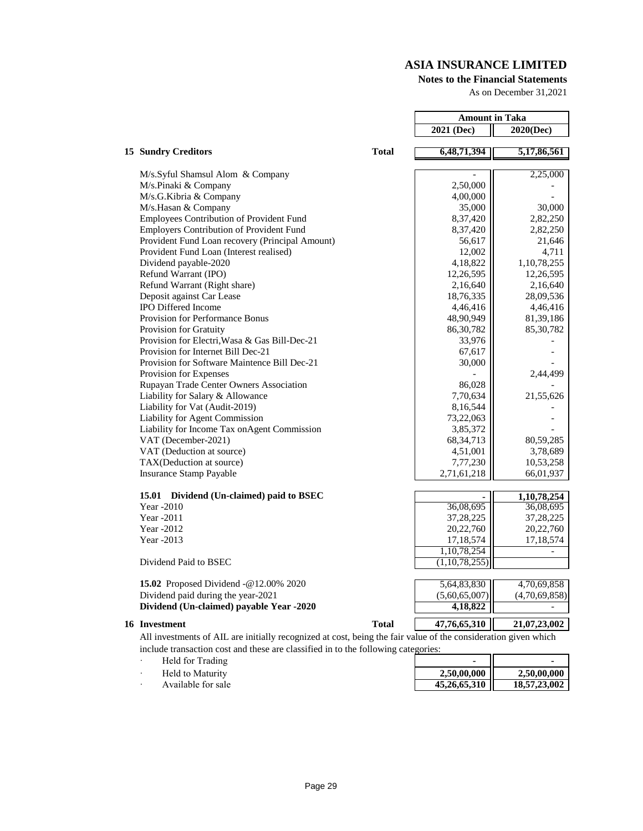#### **Notes to the Financial Statements**

As on December 31,2021

|                                                          |              | <b>Amount in Taka</b> |                          |
|----------------------------------------------------------|--------------|-----------------------|--------------------------|
|                                                          |              | 2021 (Dec)            | 2020(Dec)                |
|                                                          |              |                       |                          |
| <b>15 Sundry Creditors</b>                               | <b>Total</b> | 6,48,71,394           | 5,17,86,561              |
|                                                          |              |                       |                          |
| M/s.Syful Shamsul Alom & Company<br>M/s.Pinaki & Company |              | 2,50,000              | 2,25,000                 |
| M/s.G.Kibria & Company                                   |              | 4,00,000              |                          |
| M/s.Hasan & Company                                      |              | 35,000                | 30,000                   |
| Employees Contribution of Provident Fund                 |              | 8,37,420              | 2,82,250                 |
| <b>Employers Contribution of Provident Fund</b>          |              | 8,37,420              | 2,82,250                 |
| Provident Fund Loan recovery (Principal Amount)          |              | 56,617                | 21,646                   |
| Provident Fund Loan (Interest realised)                  |              |                       |                          |
| Dividend payable-2020                                    |              | 12,002<br>4,18,822    | 4,711<br>1,10,78,255     |
| Refund Warrant (IPO)                                     |              | 12,26,595             | 12,26,595                |
| Refund Warrant (Right share)                             |              | 2,16,640              | 2,16,640                 |
| Deposit against Car Lease                                |              | 18,76,335             | 28,09,536                |
| <b>IPO Differed Income</b>                               |              | 4,46,416              |                          |
| Provision for Performance Bonus                          |              | 48,90,949             | 4,46,416                 |
| Provision for Gratuity                                   |              | 86, 30, 782           | 81,39,186<br>85,30,782   |
| Provision for Electri, Wasa & Gas Bill-Dec-21            |              | 33,976                |                          |
| Provision for Internet Bill Dec-21                       |              | 67,617                |                          |
| Provision for Software Maintence Bill Dec-21             |              | 30,000                |                          |
| Provision for Expenses                                   |              |                       | 2,44,499                 |
| Rupayan Trade Center Owners Association                  |              | 86,028                |                          |
| Liability for Salary & Allowance                         |              | 7,70,634              | 21,55,626                |
| Liability for Vat (Audit-2019)                           |              | 8,16,544              |                          |
| Liability for Agent Commission                           |              | 73,22,063             |                          |
| Liability for Income Tax onAgent Commission              |              | 3,85,372              |                          |
| VAT (December-2021)                                      |              | 68, 34, 713           | 80,59,285                |
| VAT (Deduction at source)                                |              | 4,51,001              | 3,78,689                 |
| TAX(Deduction at source)                                 |              | 7,77,230              | 10,53,258                |
| <b>Insurance Stamp Payable</b>                           |              | 2,71,61,218           | 66,01,937                |
|                                                          |              |                       |                          |
| 15.01 Dividend (Un-claimed) paid to BSEC                 |              |                       | 1,10,78,254              |
| Year -2010                                               |              | 36,08,695             | 36,08,695                |
| Year -2011                                               |              | 37,28,225             | 37, 28, 225              |
| Year -2012                                               |              | 20,22,760             | 20,22,760                |
| Year -2013                                               |              | 17,18,574             | 17,18,574                |
|                                                          |              | 1,10,78,254           |                          |
| Dividend Paid to BSEC                                    |              | (1,10,78,255)         |                          |
|                                                          |              |                       |                          |
| 15.02 Proposed Dividend -@12.00% 2020                    |              | 5,64,83,830           | 4,70,69,858              |
| Dividend paid during the year-2021                       |              | (5,60,65,007)         | (4,70,69,858)            |
| Dividend (Un-claimed) payable Year -2020                 |              | 4,18,822              | $\overline{\phantom{a}}$ |

#### **16** Investment **16 Investment Total 16 17,76,65,310 10 11,07,23,002**

All investments of AIL are initially recognized at cost, being the fair value of the consideration given which include transaction cost and these are classified in to the following categories:

- · Held for Trading **-**
- **Held to Maturity**
- Available for sale

| 2,50,00,000  | 2,50,00,000  |
|--------------|--------------|
| 45,26,65,310 | 18,57,23,002 |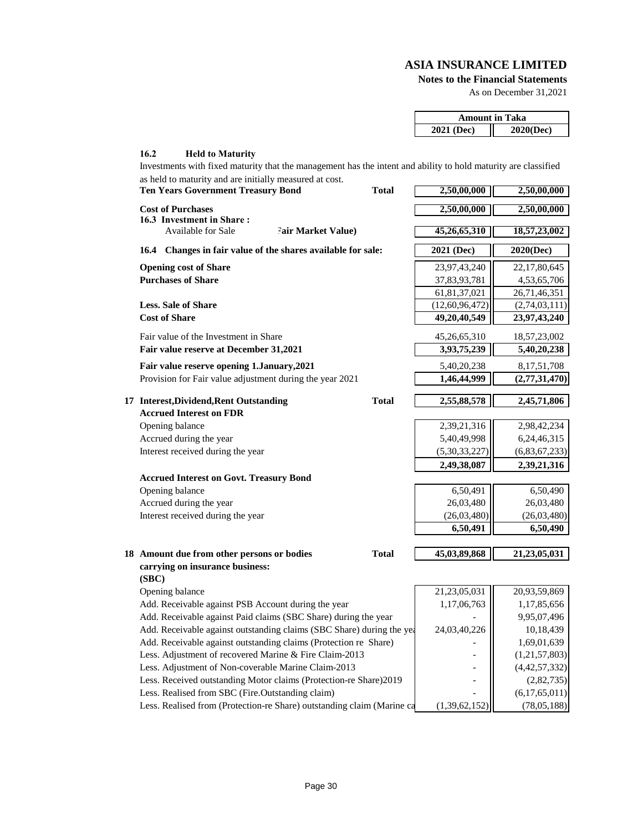**Notes to the Financial Statements**

As on December 31,2021

|            | <b>Amount in Taka</b> |
|------------|-----------------------|
| 2021 (Dec) | 2020(Dec)             |

#### **16.2 Held to Maturity**

| Investments with fixed maturity that the management has the intent and ability to hold maturity are classified<br>as held to maturity and are initially measured at cost. |              |                   |                 |
|---------------------------------------------------------------------------------------------------------------------------------------------------------------------------|--------------|-------------------|-----------------|
| <b>Ten Years Government Treasury Bond</b>                                                                                                                                 | <b>Total</b> | 2,50,00,000       | 2,50,00,000     |
| <b>Cost of Purchases</b><br>16.3 Investment in Share:                                                                                                                     |              | 2,50,00,000       | 2,50,00,000     |
| <b>Available for Sale</b><br><b>Fair Market Value)</b>                                                                                                                    |              | 45,26,65,310      | 18,57,23,002    |
| 16.4 Changes in fair value of the shares available for sale:                                                                                                              |              | 2021 (Dec)        | 2020(Dec)       |
| <b>Opening cost of Share</b>                                                                                                                                              |              | 23,97,43,240      | 22, 17, 80, 645 |
| <b>Purchases of Share</b>                                                                                                                                                 |              | 37,83,93,781      | 4,53,65,706     |
|                                                                                                                                                                           |              | 61,81,37,021      | 26,71,46,351    |
| <b>Less. Sale of Share</b>                                                                                                                                                |              | (12, 60, 96, 472) | (2,74,03,111)   |
| <b>Cost of Share</b>                                                                                                                                                      |              | 49,20,40,549      | 23,97,43,240    |
| Fair value of the Investment in Share                                                                                                                                     |              | 45, 26, 65, 310   | 18,57,23,002    |
| Fair value reserve at December 31,2021                                                                                                                                    |              | 3,93,75,239       | 5,40,20,238     |
| Fair value reserve opening 1.January, 2021                                                                                                                                |              | 5,40,20,238       | 8, 17, 51, 708  |
| Provision for Fair value adjustment during the year 2021                                                                                                                  |              | 1,46,44,999       | (2,77,31,470)   |
| 17 Interest, Dividend, Rent Outstanding                                                                                                                                   | <b>Total</b> | 2,55,88,578       | 2,45,71,806     |
| <b>Accrued Interest on FDR</b>                                                                                                                                            |              |                   |                 |
| Opening balance                                                                                                                                                           |              | 2,39,21,316       | 2,98,42,234     |
| Accrued during the year                                                                                                                                                   |              | 5,40,49,998       | 6, 24, 46, 315  |
| Interest received during the year                                                                                                                                         |              | (5,30,33,227)     | (6,83,67,233)   |
|                                                                                                                                                                           |              | 2,49,38,087       | 2,39,21,316     |
| <b>Accrued Interest on Govt. Treasury Bond</b>                                                                                                                            |              |                   |                 |
| Opening balance                                                                                                                                                           |              | 6,50,491          | 6,50,490        |
| Accrued during the year                                                                                                                                                   |              | 26,03,480         | 26,03,480       |
| Interest received during the year                                                                                                                                         |              | (26,03,480)       | (26,03,480)     |
|                                                                                                                                                                           |              | 6,50,491          | 6,50,490        |
|                                                                                                                                                                           |              |                   |                 |
| 18 Amount due from other persons or bodies                                                                                                                                | <b>Total</b> | 45,03,89,868      | 21,23,05,031    |
| carrying on insurance business:                                                                                                                                           |              |                   |                 |
| (SBC)<br>Opening balance                                                                                                                                                  |              | 21,23,05,031      | 20,93,59,869    |
| Add. Receivable against PSB Account during the year                                                                                                                       |              | 1,17,06,763       | 1,17,85,656     |
| Add. Receivable against Paid claims (SBC Share) during the year                                                                                                           |              |                   | 9,95,07,496     |
| Add. Receivable against outstanding claims (SBC Share) during the yea                                                                                                     |              | 24,03,40,226      | 10,18,439       |
| Add. Receivable against outstanding claims (Protection re Share)                                                                                                          |              |                   | 1,69,01,639     |
| Less. Adjustment of recovered Marine & Fire Claim-2013                                                                                                                    |              |                   | (1,21,57,803)   |
| Less. Adjustment of Non-coverable Marine Claim-2013                                                                                                                       |              |                   | (4,42,57,332)   |
| Less. Received outstanding Motor claims (Protection-re Share)2019                                                                                                         |              | $\overline{a}$    | (2,82,735)      |
| Less. Realised from SBC (Fire.Outstanding claim)                                                                                                                          |              |                   | (6,17,65,011)   |

Less. Realised from (Protection-re Share) outstanding claim (Marine ca  $(1,39,62,152)$  (78,05,188)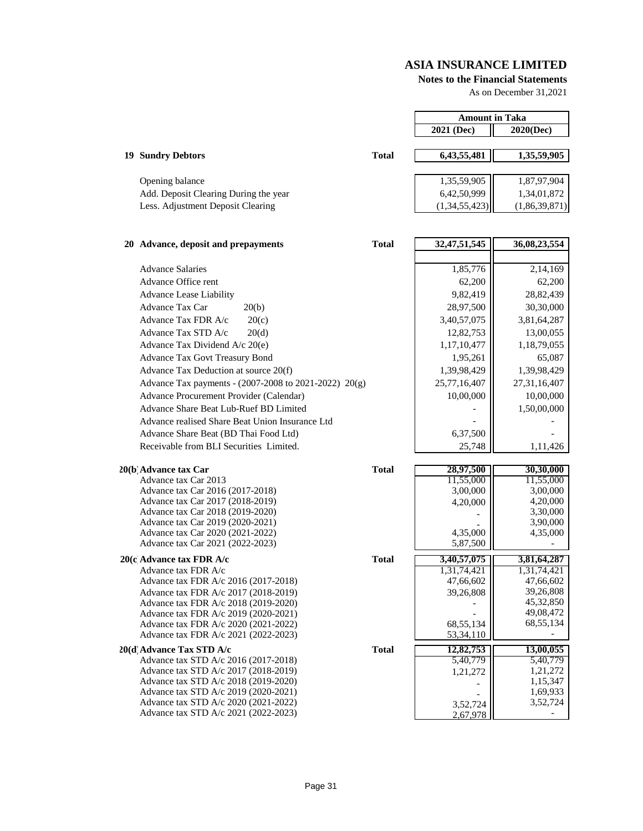#### **Notes to the Financial Statements**

As on December 31,2021

|                                                                              |              | <b>Amount in Taka</b> |                      |
|------------------------------------------------------------------------------|--------------|-----------------------|----------------------|
|                                                                              |              | $2021$ (Dec)          | 2020(Dec)            |
|                                                                              |              |                       |                      |
| <b>19 Sundry Debtors</b>                                                     | <b>Total</b> | 6,43,55,481           | 1,35,59,905          |
|                                                                              |              |                       |                      |
| Opening balance                                                              |              | 1,35,59,905           | 1,87,97,904          |
| Add. Deposit Clearing During the year                                        |              | 6,42,50,999           | 1,34,01,872          |
| Less. Adjustment Deposit Clearing                                            |              | (1,34,55,423)         | (1,86,39,871)        |
|                                                                              |              |                       |                      |
|                                                                              |              |                       |                      |
| 20 Advance, deposit and prepayments                                          | <b>Total</b> | 32, 47, 51, 545       | 36,08,23,554         |
|                                                                              |              |                       |                      |
| <b>Advance Salaries</b>                                                      |              | 1,85,776              | 2,14,169             |
| Advance Office rent                                                          |              | 62,200                | 62,200               |
| <b>Advance Lease Liability</b>                                               |              | 9,82,419              | 28,82,439            |
| Advance Tax Car<br>20(b)                                                     |              | 28,97,500             | 30,30,000            |
| Advance Tax FDR A/c<br>20(c)                                                 |              | 3,40,57,075           | 3,81,64,287          |
| Advance Tax STD A/c<br>20(d)                                                 |              | 12,82,753             | 13,00,055            |
| Advance Tax Dividend $A/c$ 20(e)                                             |              | 1,17,10,477           | 1,18,79,055          |
| Advance Tax Govt Treasury Bond                                               |              | 1,95,261              | 65,087               |
| Advance Tax Deduction at source 20(f)                                        |              | 1,39,98,429           | 1,39,98,429          |
| Advance Tax payments - (2007-2008 to 2021-2022) 20(g)                        |              | 25,77,16,407          | 27, 31, 16, 407      |
| Advance Procurement Provider (Calendar)                                      |              | 10,00,000             | 10,00,000            |
| Advance Share Beat Lub-Ruef BD Limited                                       |              |                       | 1,50,00,000          |
| Advance realised Share Beat Union Insurance Ltd                              |              |                       |                      |
| Advance Share Beat (BD Thai Food Ltd)                                        |              | 6,37,500              |                      |
| Receivable from BLI Securities Limited.                                      |              | 25,748                | 1,11,426             |
|                                                                              |              |                       |                      |
| 20(b Advance tax Car                                                         | <b>Total</b> | 28,97,500             | 30,30,000            |
| Advance tax Car 2013                                                         |              | 11,55,000             | 11,55,000            |
| Advance tax Car 2016 (2017-2018)                                             |              | 3,00,000              | 3,00,000             |
| Advance tax Car 2017 (2018-2019)                                             |              | 4,20,000              | 4,20,000             |
| Advance tax Car 2018 (2019-2020)<br>Advance tax Car 2019 (2020-2021)         |              |                       | 3,30,000<br>3,90,000 |
| Advance tax Car 2020 (2021-2022)                                             |              | 4,35,000              | 4,35,000             |
| Advance tax Car 2021 (2022-2023)                                             |              | 5,87,500              |                      |
| 20(c Advance tax FDR A/c                                                     | <b>Total</b> | 3,40,57,075           | 3,81,64,287          |
| Advance tax FDR A/c                                                          |              | 1,31,74,421           | 1,31,74,421          |
| Advance tax FDR A/c 2016 (2017-2018)                                         |              | 47,66,602             | 47,66,602            |
| Advance tax FDR A/c 2017 (2018-2019)                                         |              | 39,26,808             | 39,26,808            |
| Advance tax FDR A/c 2018 (2019-2020)                                         |              |                       | 45,32,850            |
| Advance tax FDR A/c 2019 (2020-2021)                                         |              |                       | 49,08,472            |
| Advance tax FDR A/c 2020 (2021-2022)                                         |              | 68,55,134             | 68, 55, 134          |
| Advance tax FDR A/c 2021 (2022-2023)                                         |              | 53,34,110             |                      |
| 20(d Advance Tax STD A/c                                                     | <b>Total</b> | 12,82,753             | 13,00,055            |
| Advance tax STD A/c 2016 (2017-2018)<br>Advance tax STD A/c 2017 (2018-2019) |              | 5,40,779              | 5,40,779<br>1,21,272 |
| Advance tax STD A/c 2018 (2019-2020)                                         |              | 1,21,272              | 1,15,347             |
| Advance tax STD A/c 2019 (2020-2021)                                         |              |                       | 1,69,933             |
| Advance tax STD A/c 2020 (2021-2022)                                         |              | 3,52,724              | 3,52,724             |
| Advance tax STD A/c 2021 (2022-2023)                                         |              | 2,67,978              |                      |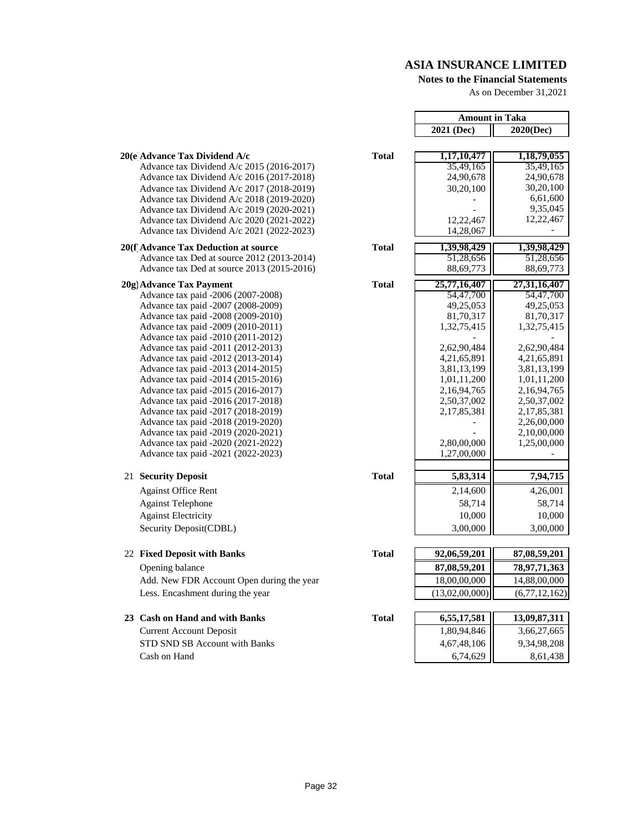#### **Notes to the Financial Statements**

As on December 31,2021

|                                                                          |              | <b>Amount in Taka</b> |                          |
|--------------------------------------------------------------------------|--------------|-----------------------|--------------------------|
|                                                                          |              | 2021 (Dec)            | 2020(Dec)                |
| 20(e Advance Tax Dividend A/c                                            | <b>Total</b> | 1,17,10,477           |                          |
| Advance tax Dividend A/c 2015 (2016-2017)                                |              | 35,49,165             | 1,18,79,055<br>35,49,165 |
| Advance tax Dividend A/c 2016 (2017-2018)                                |              | 24,90,678             | 24,90,678                |
| Advance tax Dividend A/c 2017 (2018-2019)                                |              | 30,20,100             | 30,20,100                |
| Advance tax Dividend A/c 2018 (2019-2020)                                |              |                       | 6,61,600                 |
| Advance tax Dividend A/c 2019 (2020-2021)                                |              |                       | 9,35,045                 |
| Advance tax Dividend A/c 2020 (2021-2022)                                |              | 12,22,467             | 12,22,467                |
| Advance tax Dividend A/c 2021 (2022-2023)                                |              | 14,28,067             |                          |
| 20(f Advance Tax Deduction at source                                     | <b>Total</b> | 1,39,98,429           | 1,39,98,429              |
| Advance tax Ded at source 2012 (2013-2014)                               |              | 51,28,656             | 51,28,656                |
| Advance tax Ded at source 2013 (2015-2016)                               |              | 88,69,773             | 88,69,773                |
| 20g) Advance Tax Payment                                                 | <b>Total</b> | 25,77,16,407          | 27, 31, 16, 407          |
| Advance tax paid -2006 (2007-2008)                                       |              | 54,47,700             | 54,47,700                |
| Advance tax paid -2007 (2008-2009)                                       |              | 49,25,053             | 49,25,053                |
| Advance tax paid -2008 (2009-2010)                                       |              | 81,70,317             | 81,70,317                |
| Advance tax paid -2009 (2010-2011)                                       |              | 1,32,75,415           | 1,32,75,415              |
| Advance tax paid -2010 (2011-2012)<br>Advance tax paid -2011 (2012-2013) |              | 2,62,90,484           | 2,62,90,484              |
| Advance tax paid -2012 (2013-2014)                                       |              | 4,21,65,891           | 4,21,65,891              |
| Advance tax paid -2013 (2014-2015)                                       |              | 3,81,13,199           | 3,81,13,199              |
| Advance tax paid -2014 (2015-2016)                                       |              | 1,01,11,200           | 1,01,11,200              |
| Advance tax paid -2015 (2016-2017)                                       |              | 2,16,94,765           | 2, 16, 94, 765           |
| Advance tax paid -2016 (2017-2018)                                       |              | 2,50,37,002           | 2,50,37,002              |
| Advance tax paid -2017 (2018-2019)                                       |              | 2, 17, 85, 381        | 2, 17, 85, 381           |
| Advance tax paid -2018 (2019-2020)                                       |              |                       | 2,26,00,000              |
| Advance tax paid -2019 (2020-2021)                                       |              |                       | 2,10,00,000              |
| Advance tax paid -2020 (2021-2022)                                       |              | 2,80,00,000           | 1,25,00,000              |
| Advance tax paid -2021 (2022-2023)                                       |              | 1,27,00,000           |                          |
| 21 Security Deposit                                                      | <b>Total</b> | 5,83,314              | 7,94,715                 |
| <b>Against Office Rent</b>                                               |              | 2,14,600              | 4,26,001                 |
| <b>Against Telephone</b>                                                 |              | 58,714                | 58,714                   |
| <b>Against Electricity</b>                                               |              | 10,000                | 10,000                   |
| Security Deposit(CDBL)                                                   |              | 3,00,000              | 3,00,000                 |
| 22 Fixed Deposit with Banks                                              | <b>Total</b> | 92,06,59,201          | 87,08,59,201             |
| Opening balance                                                          |              | 87,08,59,201          | 78, 97, 71, 363          |
| Add. New FDR Account Open during the year                                |              | 18,00,00,000          | 14,88,00,000             |
| Less. Encashment during the year                                         |              | (13,02,00,000)        | (6,77,12,162)            |
|                                                                          |              |                       |                          |
| 23 Cash on Hand and with Banks                                           | <b>Total</b> | 6,55,17,581           | 13,09,87,311             |
| <b>Current Account Deposit</b>                                           |              | 1,80,94,846           | 3,66,27,665              |
| STD SND SB Account with Banks                                            |              | 4,67,48,106           | 9,34,98,208              |
| Cash on Hand                                                             |              | 6.74.629              | 861438                   |

|  | 20(e Advance Tax Dividend A/c |  |
|--|-------------------------------|--|
|--|-------------------------------|--|

#### **20(f Advance Tax Deduction at source**

#### **20g)Advance Tax Payment Total 25,77,16,407 27,31,16,407**

#### **21 Security Deposit**

# **22 Fixed Deposit with Banks**

## **Opening balance**

#### **23 Cash on Hand and with Banks** Current Account Deposit

STD SND SB Account with Banks Cash on Hand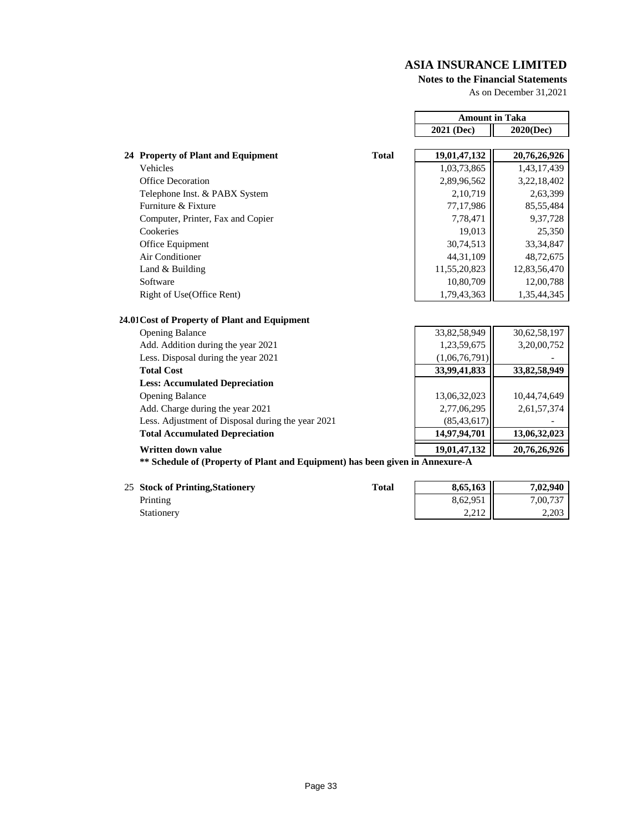#### **Notes to the Financial Statements**

As on December 31,2021

|                                                                               |               | <b>Amount in Taka</b> |  |
|-------------------------------------------------------------------------------|---------------|-----------------------|--|
|                                                                               | 2021 (Dec)    | 2020(Dec)             |  |
|                                                                               |               |                       |  |
| <b>Total</b><br>24 Property of Plant and Equipment                            | 19,01,47,132  | 20,76,26,926          |  |
| Vehicles                                                                      | 1,03,73,865   | 1,43,17,439           |  |
| Office Decoration                                                             | 2,89,96,562   | 3,22,18,402           |  |
| Telephone Inst. & PABX System                                                 | 2,10,719      | 2,63,399              |  |
| Furniture & Fixture                                                           | 77,17,986     | 85,55,484             |  |
| Computer, Printer, Fax and Copier                                             | 7,78,471      | 9,37,728              |  |
| Cookeries                                                                     | 19,013        | 25,350                |  |
| Office Equipment                                                              | 30,74,513     | 33, 34, 847           |  |
| Air Conditioner                                                               | 44, 31, 109   | 48,72,675             |  |
| Land & Building                                                               | 11,55,20,823  | 12,83,56,470          |  |
| Software                                                                      | 10,80,709     | 12,00,788             |  |
| Right of Use(Office Rent)                                                     | 1,79,43,363   | 1,35,44,345           |  |
| 24.01 Cost of Property of Plant and Equipment                                 |               |                       |  |
| <b>Opening Balance</b>                                                        | 33,82,58,949  | 30,62,58,197          |  |
| Add. Addition during the year 2021                                            | 1,23,59,675   | 3,20,00,752           |  |
| Less. Disposal during the year 2021                                           | (1,06,76,791) |                       |  |
| <b>Total Cost</b>                                                             | 33,99,41,833  | 33,82,58,949          |  |
| <b>Less: Accumulated Depreciation</b>                                         |               |                       |  |
| <b>Opening Balance</b>                                                        | 13,06,32,023  | 10,44,74,649          |  |
| Add. Charge during the year 2021                                              | 2,77,06,295   | 2,61,57,374           |  |
| Less. Adjustment of Disposal during the year 2021                             | (85, 43, 617) |                       |  |
| <b>Total Accumulated Depreciation</b>                                         | 14,97,94,701  | 13,06,32,023          |  |
| Written down value                                                            | 19,01,47,132  | 20,76,26,926          |  |
| ** Schedule of (Property of Plant and Equipment) has been given in Annexure-A |               |                       |  |

25 **Stock of Printing,Stationery Total 8,65,163 7,02,940**

| <i>Printing</i> |  |
|-----------------|--|
| Stationery      |  |

| <b>Stock of Printing, Stationery</b> | Total | 8,65,163  | 7.02.940 |
|--------------------------------------|-------|-----------|----------|
| Printing                             |       | 8,62,951  | 7,00,737 |
| Stationerv                           |       | $2.212$ 1 | 2.203    |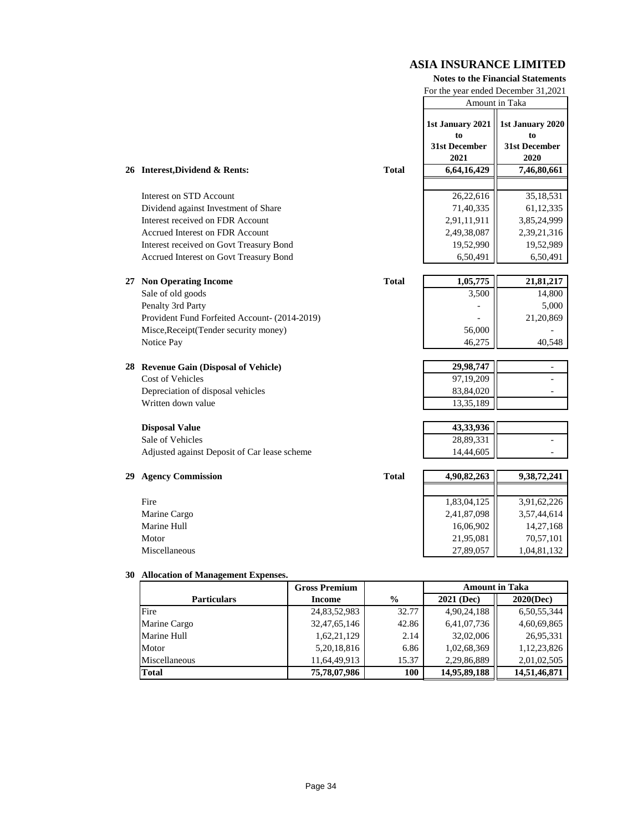#### **Notes to the Financial Statements**

For the year ended December 31,2021

|    |                                                                  | Amount in Taka               |                              |
|----|------------------------------------------------------------------|------------------------------|------------------------------|
|    |                                                                  | 1st January 2021<br>to       | 1st January 2020<br>to       |
|    |                                                                  | <b>31st December</b><br>2021 | <b>31st December</b><br>2020 |
|    | <b>Total</b><br>26 Interest, Dividend & Rents:                   | 6,64,16,429                  | 7,46,80,661                  |
|    |                                                                  |                              |                              |
|    | Interest on STD Account                                          | 26,22,616                    | 35,18,531                    |
|    | Dividend against Investment of Share                             | 71,40,335                    | 61,12,335                    |
|    | Interest received on FDR Account                                 | 2,91,11,911                  | 3,85,24,999                  |
|    | <b>Accrued Interest on FDR Account</b>                           | 2,49,38,087                  | 2,39,21,316                  |
|    | Interest received on Govt Treasury Bond                          | 19,52,990                    | 19,52,989                    |
|    | Accrued Interest on Govt Treasury Bond                           | 6,50,491                     | 6,50,491                     |
|    |                                                                  |                              |                              |
|    | <b>Total</b><br>27 Non Operating Income                          | 1,05,775                     | 21,81,217                    |
|    | Sale of old goods                                                | 3,500                        | 14,800                       |
|    | Penalty 3rd Party                                                |                              | 5,000                        |
|    | Provident Fund Forfeited Account- (2014-2019)                    |                              | 21,20,869                    |
|    | Misce, Receipt (Tender security money)                           | 56,000                       |                              |
|    | Notice Pay                                                       | 46,275                       | 40,548                       |
|    |                                                                  | 29,98,747                    |                              |
|    | 28 Revenue Gain (Disposal of Vehicle)<br><b>Cost of Vehicles</b> | 97,19,209                    |                              |
|    | Depreciation of disposal vehicles                                | 83,84,020                    | $\blacksquare$               |
|    | Written down value                                               | 13,35,189                    |                              |
|    |                                                                  |                              |                              |
|    | <b>Disposal Value</b>                                            | 43,33,936                    |                              |
|    | Sale of Vehicles                                                 | 28,89,331                    |                              |
|    | Adjusted against Deposit of Car lease scheme                     | 14,44,605                    | ÷                            |
|    |                                                                  |                              |                              |
| 29 | <b>Agency Commission</b><br><b>Total</b>                         | 4,90,82,263                  | 9,38,72,241                  |
|    |                                                                  |                              |                              |
|    | Fire                                                             | 1,83,04,125                  | 3,91,62,226                  |
|    | Marine Cargo                                                     | 2,41,87,098                  | 3,57,44,614                  |
|    | Marine Hull                                                      | 16,06,902                    | 14,27,168                    |
|    | Motor                                                            | 21,95,081                    | 70,57,101                    |
|    | Miscellaneous                                                    | 27,89,057                    | 1,04,81,132                  |

#### **30 Allocation of Management Expenses.**

|                    | <b>Gross Premium</b> |               | <b>Amount in Taka</b> |              |
|--------------------|----------------------|---------------|-----------------------|--------------|
| <b>Particulars</b> | <b>Income</b>        | $\frac{0}{0}$ | <b>2021 (Dec)</b>     | 2020(Dec)    |
| Fire               | 24,83,52,983         | 32.77         | 4,90,24,188           | 6,50,55,344  |
| Marine Cargo       | 32,47,65,146         | 42.86         | 6,41,07,736           | 4,60,69,865  |
| <b>Marine Hull</b> | 1,62,21,129          | 2.14          | 32,02,006             | 26,95,331    |
| Motor              | 5, 20, 18, 816       | 6.86          | 1,02,68,369           | 1,12,23,826  |
| Miscellaneous      | 11,64,49,913         | 15.37         | 2,29,86,889           | 2,01,02,505  |
| <b>Total</b>       | 75,78,07,986         | 100           | 14,95,89,188          | 14,51,46,871 |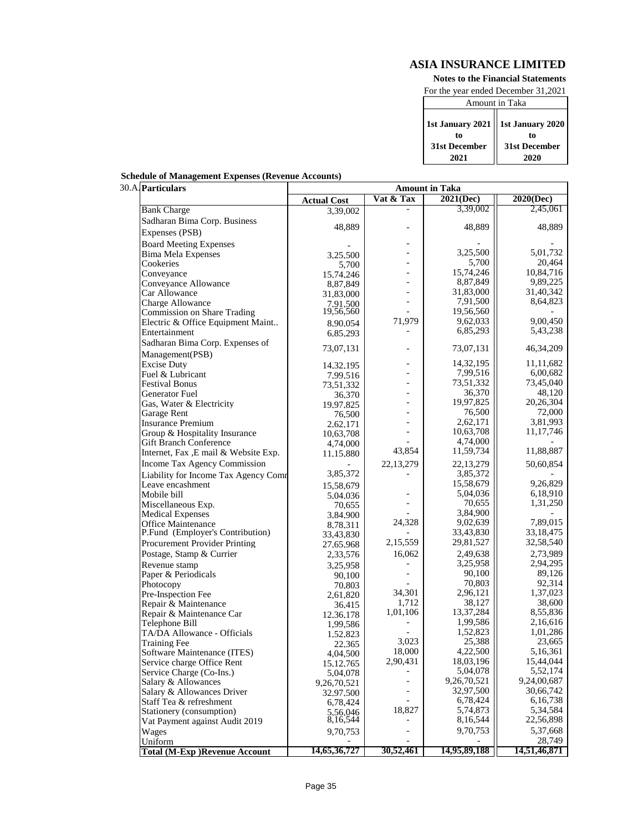**Notes to the Financial Statements**

For the year ended December 31,2021

| Amount in Taka                            |               |  |
|-------------------------------------------|---------------|--|
| 1st January 2021   1st January 2020<br>tο | to            |  |
| 31st December                             | 31st December |  |
| 2021                                      | 2020          |  |

| 30.A. Particulars                    | <b>Amount in Taka</b> |                |              |              |
|--------------------------------------|-----------------------|----------------|--------------|--------------|
|                                      | <b>Actual Cost</b>    | Vat & Tax      | 2021(Dec)    | 2020(Dec)    |
| <b>Bank Charge</b>                   | 3,39,002              |                | 3,39,002     | 2,45,061     |
| Sadharan Bima Corp. Business         |                       |                |              |              |
| Expenses (PSB)                       | 48,889                |                | 48,889       | 48,889       |
| <b>Board Meeting Expenses</b>        |                       |                |              |              |
| <b>Bima Mela Expenses</b>            | 3.25.500              | ۰              | 3,25,500     | 5,01,732     |
| Cookeries                            | 5,700                 |                | 5,700        | 20,464       |
| Conveyance                           | 15,74,246             |                | 15,74,246    | 10,84,716    |
| Conveyance Allowance                 | 8,87,849              |                | 8,87,849     | 9,89,225     |
| Car Allowance                        | 31,83,000             | ۰              | 31,83,000    | 31,40,342    |
| Charge Allowance                     | 7,91,500              | $\equiv$       | 7,91,500     | 8,64,823     |
| Commission on Share Trading          | 19,56,560             |                | 19,56,560    |              |
| Electric & Office Equipment Maint    | 8,90,054              | 71,979         | 9,62,033     | 9,00,450     |
| Entertainment                        | 6,85,293              |                | 6,85,293     | 5,43,238     |
| Sadharan Bima Corp. Expenses of      |                       |                |              |              |
| Management(PSB)                      | 73,07,131             |                | 73,07,131    | 46, 34, 209  |
| <b>Excise Duty</b>                   | 14,32,195             |                | 14,32,195    | 11,11,682    |
| Fuel & Lubricant                     | 7.99.516              |                | 7,99,516     | 6,00,682     |
| <b>Festival Bonus</b>                | 73,51,332             |                | 73,51,332    | 73,45,040    |
| <b>Generator Fuel</b>                | 36,370                | ۰              | 36,370       | 48,120       |
| Gas, Water & Electricity             | 19,97,825             | ۰              | 19,97,825    | 20,26,304    |
| Garage Rent                          | 76,500                | ÷,             | 76,500       | 72,000       |
| <b>Insurance Premium</b>             | 2,62,171              |                | 2,62,171     | 3,81,993     |
| Group & Hospitality Insurance        | 10,63,708             |                | 10,63,708    | 11, 17, 746  |
| <b>Gift Branch Conference</b>        | 4,74,000              |                | 4,74,000     |              |
| Internet, Fax, E mail & Website Exp. | 11,15,880             | 43,854         | 11,59,734    | 11,88,887    |
| Income Tax Agency Commission         |                       | 22,13,279      | 22,13,279    | 50,60,854    |
| Liability for Income Tax Agency Comr | 3,85,372              |                | 3,85,372     |              |
| Leave encashment                     | 15,58,679             |                | 15,58,679    | 9,26,829     |
| Mobile bill                          | 5,04,036              |                | 5,04,036     | 6,18,910     |
| Miscellaneous Exp.                   | 70,655                |                | 70,655       | 1,31,250     |
| <b>Medical Expenses</b>              | 3,84,900              |                | 3,84,900     |              |
| <b>Office Maintenance</b>            | 8,78,311              | 24,328         | 9,02,639     | 7,89,015     |
| P.Fund (Employer's Contribution)     | 33,43,830             |                | 33,43,830    | 33, 18, 475  |
| Procurement Provider Printing        | 27,65,968             | 2,15,559       | 29,81,527    | 32,58,540    |
| Postage, Stamp & Currier             | 2,33,576              | 16,062         | 2,49,638     | 2,73,989     |
| Revenue stamp                        | 3,25,958              |                | 3,25,958     | 2,94,295     |
| Paper & Periodicals                  | 90,100                |                | 90,100       | 89,126       |
| Photocopy                            | 70,803                |                | 70,803       | 92,314       |
| Pre-Inspection Fee                   | 2,61,820              | 34,301         | 2,96,121     | 1,37,023     |
| Repair & Maintenance                 | 36,415                | 1,712          | 38,127       | 38,600       |
| Repair & Maintenance Car             | 12,36,178             | 1,01,106       | 13,37,284    | 8,55,836     |
| Telephone Bill                       | 1,99,586              |                | 1,99,586     | 2,16,616     |
| TA/DA Allowance - Officials          | 1,52,823              |                | 1,52,823     | 1,01,286     |
| <b>Training Fee</b>                  | 22,365                | 3,023          | 25,388       | 23,665       |
| Software Maintenance (ITES)          | 4,04,500              | 18,000         | 4,22,500     | 5,16,361     |
| Service charge Office Rent           | 15, 12, 765           | 2,90,431       | 18,03,196    | 15,44,044    |
| Service Charge (Co-Ins.)             | 5,04,078              |                | 5,04,078     | 5,52,174     |
| Salary & Allowances                  | 9,26,70,521           | $\blacksquare$ | 9,26,70,521  | 9,24,00,687  |
| Salary & Allowances Driver           | 32,97,500             |                | 32,97,500    | 30,66,742    |
| Staff Tea & refreshment              | 6,78,424              |                | 6,78,424     | 6,16,738     |
| Stationery (consumption)             | 5,56,046              | 18,827         | 5,74,873     | 5,34,584     |
| Vat Payment against Audit 2019       | 8,16,544              |                | 8,16,544     | 22,56,898    |
| Wages                                | 9,70,753              |                | 9,70,753     | 5,37,668     |
| Uniform                              |                       |                |              | 28,749       |
| <b>Total (M-Exp)Revenue Account</b>  | 14,65,36,727          | 30,52,461      | 14,95,89,188 | 14,51,46,871 |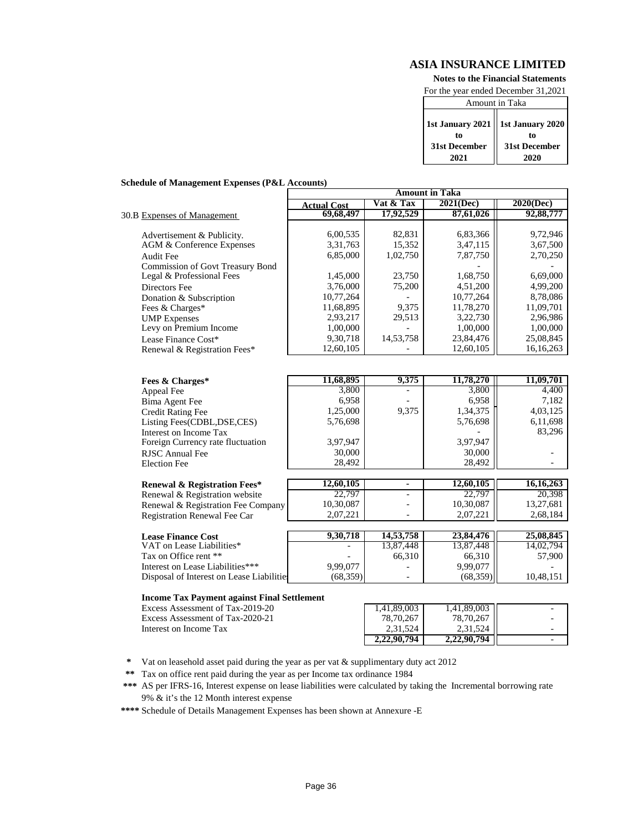**Notes to the Financial Statements**

For the year ended December 31,2021

| Amount in Taka                                    |               |  |  |  |
|---------------------------------------------------|---------------|--|--|--|
| 1st January 2021   1st January 2020  <br>tο<br>to |               |  |  |  |
| 31st December                                     | 31st December |  |  |  |
| 2021                                              | 2020          |  |  |  |

#### **Schedule of Management Expenses (P&L Accounts)**

|                                         | <b>Amount in Taka</b> |             |           |           |
|-----------------------------------------|-----------------------|-------------|-----------|-----------|
|                                         | <b>Actual Cost</b>    | Vat & Tax   | 2021(Dec) | 2020(Dec) |
| 30.B Expenses of Management             | 69,68,497             | 17,92,529   | 87,61,026 | 92,88,777 |
|                                         |                       |             |           |           |
| Advertisement & Publicity.              | 6,00,535              | 82,831      | 6,83,366  | 9,72,946  |
| AGM & Conference Expenses               | 3,31,763              | 15,352      | 3,47,115  | 3,67,500  |
| Audit Fee                               | 6,85,000              | 1,02,750    | 7,87,750  | 2,70,250  |
| <b>Commission of Govt Treasury Bond</b> |                       |             |           |           |
| Legal & Professional Fees               | 1,45,000              | 23,750      | 1,68,750  | 6,69,000  |
| Directors Fee                           | 3,76,000              | 75,200      | 4,51,200  | 4.99.200  |
| Donation & Subscription                 | 10,77,264             |             | 10,77,264 | 8,78,086  |
| Fees & Charges*                         | 11,68,895             | 9,375       | 11,78,270 | 11,09,701 |
| <b>UMP</b> Expenses                     | 2,93,217              | 29,513      | 3,22,730  | 2,96,986  |
| Levy on Premium Income                  | 1,00,000              |             | 1,00,000  | 1,00,000  |
| Lease Finance Cost*                     | 9,30,718              | 14, 53, 758 | 23,84,476 | 25,08,845 |
| Renewal & Registration Fees*            | 12.60.105             |             | 12.60.105 | 16.16.263 |

| Fees & Charges*                   | 11,68,895 | 9,375 | 11,78,270 | 11,09,701 |
|-----------------------------------|-----------|-------|-----------|-----------|
| Appeal Fee                        | 3,800     |       | 3,800     | 4,400     |
| Bima Agent Fee                    | 6,958     |       | 6,958     | 7,182     |
| <b>Credit Rating Fee</b>          | 1,25,000  | 9.375 | 1,34,375  | 4,03,125  |
| Listing Fees(CDBL, DSE, CES)      | 5,76,698  |       | 5,76,698  | 6,11,698  |
| Interest on Income Tax            |           |       |           | 83,296    |
| Foreign Currency rate fluctuation | 3,97,947  |       | 3,97,947  |           |
| RJSC Annual Fee                   | 30,000    |       | 30,000    |           |
| <b>Election Fee</b>               | 28.492    |       | 28,492    |           |
|                                   |           |       |           |           |

| Renewal & Registration Fees*       | 12,60,105 | ۰                        | 12.60.105   | 16.16.263 |
|------------------------------------|-----------|--------------------------|-------------|-----------|
| Renewal & Registration website     | 22,797    | $\overline{\phantom{0}}$ | 22,797      | 20.398    |
| Renewal & Registration Fee Company | 10.30.087 | $\overline{\phantom{0}}$ | $10,30,087$ | 13.27.681 |
| Registration Renewal Fee Car       | 2.07.221  | -                        | 2.07.221    | 2.68.184  |

| <b>Lease Finance Cost</b>                 | 9.30.718                 | 14,53,758 | 23,84,476 | 25,08,845 |
|-------------------------------------------|--------------------------|-----------|-----------|-----------|
| VAT on Lease Liabilities*                 | $\overline{\phantom{a}}$ | 3.87.448  | 13,87,448 | 14.02.794 |
| Tax on Office rent **                     | -                        | 66.310    | 66.310 ll | 57,900    |
| Interest on Lease Liabilities***          | 9.99.077                 | -         | 9.99.077  |           |
| Disposal of Interest on Lease Liabilities | (68.359)                 | -         | (68,359)  | 10.48.151 |

#### **Income Tax Payment against Final Settlement**

Excess Assessment of Tax-2019-20 Excess Assessment of Tax-2020-21 Interest on Income Tax

| 1,41,89,003 | 1,41,89,003 |  |
|-------------|-------------|--|
| 78,70,267   | 78,70,267   |  |
| 2,31,524    | 2,31,524    |  |
|             |             |  |

**\*** Vat on leasehold asset paid during the year as per vat & supplimentary duty act 2012

**\*\*** Tax on office rent paid during the year as per Income tax ordinance 1984

**\*\*\*** AS per IFRS-16, Interest expense on lease liabilities were calculated by taking the Incremental borrowing rate 9% & it's the 12 Month interest expense

**\*\*\*\*** Schedule of Details Management Expenses has been shown at Annexure -E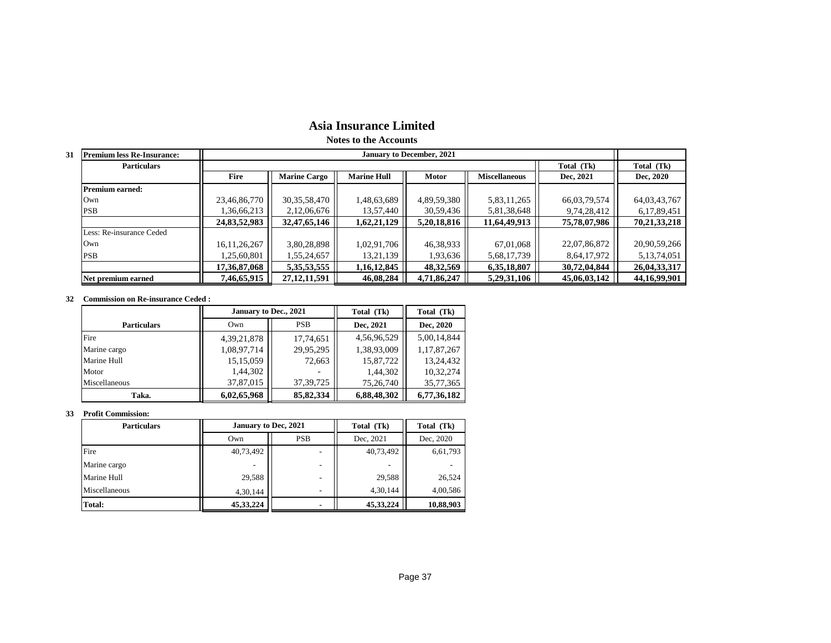# **Asia Insurance Limited**

**Notes to the Accounts**

| <b>Premium less Re-Insurance:</b><br>31 |                 | <b>January to December, 2021</b> |                    |              |                      |              |                 |
|-----------------------------------------|-----------------|----------------------------------|--------------------|--------------|----------------------|--------------|-----------------|
| <b>Particulars</b>                      |                 |                                  |                    |              |                      | Total (Tk)   | Total (Tk)      |
|                                         | <b>Fire</b>     | <b>Marine Cargo</b>              | <b>Marine Hull</b> | <b>Motor</b> | <b>Miscellaneous</b> | Dec, 2021    | Dec, 2020       |
| <b>Premium earned:</b>                  |                 |                                  |                    |              |                      |              |                 |
| Own                                     | 23,46,86,770    | 30, 35, 58, 470                  | 1,48,63,689        | 4,89,59,380  | 5,83,11,265          | 66,03,79,574 | 64,03,43,767    |
| PSB                                     | 1,36,66,213     | 2,12,06,676                      | 13,57,440          | 30,59,436    | 5,81,38,648          | 9,74,28,412  | 6,17,89,451     |
|                                         | 24,83,52,983    | 32,47,65,146                     | 1,62,21,129        | 5,20,18,816  | 11,64,49,913         | 75,78,07,986 | 70, 21, 33, 218 |
| Less: Re-insurance Ceded                |                 |                                  |                    |              |                      |              |                 |
| Own                                     | 16, 11, 26, 267 | 3,80,28,898                      | 1,02,91,706        | 46,38,933    | 67,01,068            | 22,07,86,872 | 20,90,59,266    |
| <b>PSB</b>                              | 1,25,60,801     | 1,55,24,657                      | 13,21,139          | 1,93,636     | 5,68,17,739          | 8,64,17,972  | 5,13,74,051     |
|                                         | 17,36,87,068    | 5, 35, 53, 555                   | 1,16,12,845        | 48, 32, 569  | 6,35,18,807          | 30,72,04,844 | 26,04,33,317    |
| Net premium earned                      | 7,46,65,915     | 27, 12, 11, 591                  | 46,08,284          | 4,71,86,247  | 5,29,31,106          | 45,06,03,142 | 44, 16, 99, 901 |

#### **32 Commission on Re-insurance Ceded :**

|                    | January to Dec., 2021 |             | Total (Tk)  | Total (Tk)  |
|--------------------|-----------------------|-------------|-------------|-------------|
| <b>Particulars</b> | <b>PSB</b><br>Own     |             | Dec. 2021   | Dec, 2020   |
| Fire               | 4, 39, 21, 878        | 17,74,651   | 4,56,96,529 | 5,00,14,844 |
| Marine cargo       | 1,08,97,714           | 29,95,295   | 1,38,93,009 | 1,17,87,267 |
| Marine Hull        | 15, 15, 059           | 72,663      | 15,87,722   | 13,24,432   |
| Motor              | 1,44,302              |             | 1,44,302    | 10,32,274   |
| Miscellaneous      | 37,87,015             | 37, 39, 725 | 75,26,740   | 35,77,365   |
| Taka.              | 6,02,65,968           | 85, 82, 334 | 6,88,48,302 | 6,77,36,182 |

#### **33 Profit Commission:**

| <b>Particulars</b> | <b>January to Dec, 2021</b> |                          | Total (Tk)  | Total (Tk) |
|--------------------|-----------------------------|--------------------------|-------------|------------|
|                    | <b>PSB</b><br>Own           |                          | Dec. 2021   | Dec, 2020  |
| Fire               | 40,73,492                   |                          | 40,73,492   | 6,61,793   |
| Marine cargo       |                             | $\overline{\phantom{a}}$ |             |            |
| Marine Hull        | 29,588                      | $\overline{\phantom{a}}$ | 29,588      | 26,524     |
| Miscellaneous      | 4,30,144                    | $\overline{\phantom{0}}$ | 4,30,144    | 4,00,586   |
| Total:             | 45, 33, 224                 | ۰                        | 45, 33, 224 | 10,88,903  |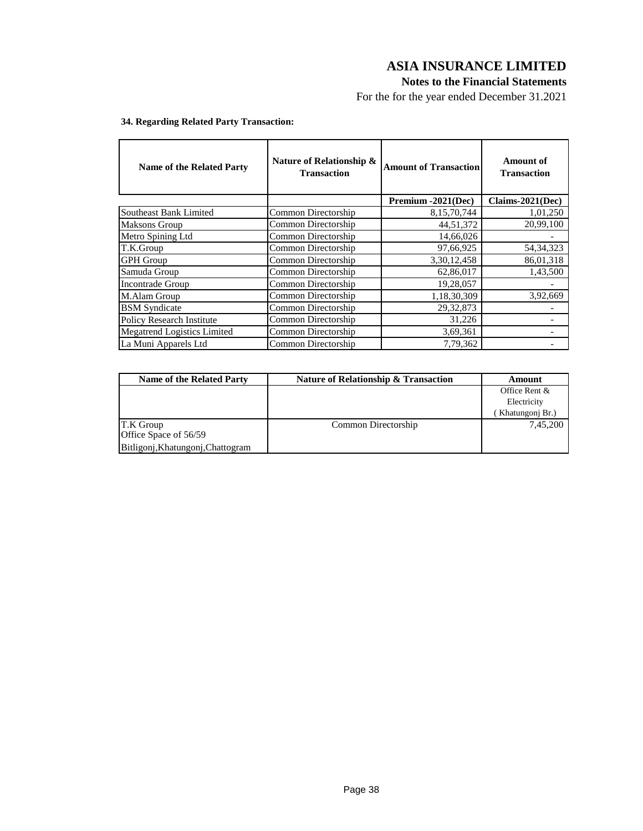## **Notes to the Financial Statements**

For the for the year ended December 31.2021

| <b>Name of the Related Party</b> | Nature of Relationship &<br><b>Transaction</b> | <b>Amount of Transaction</b> | Amount of<br><b>Transaction</b> |
|----------------------------------|------------------------------------------------|------------------------------|---------------------------------|
|                                  |                                                | Premium -2021(Dec)           | Claims-2021(Dec)                |
| Southeast Bank Limited           | Common Directorship                            | 8,15,70,744                  | 1,01,250                        |
| <b>Maksons Group</b>             | Common Directorship                            | 44,51,372                    | 20,99,100                       |
| Metro Spining Ltd                | Common Directorship                            | 14,66,026                    |                                 |
| T.K.Group                        | Common Directorship                            | 97,66,925                    | 54, 34, 323                     |
| <b>GPH</b> Group                 | Common Directorship                            | 3,30,12,458                  | 86,01,318                       |
| Samuda Group                     | Common Directorship                            | 62,86,017                    | 1,43,500                        |
| <b>Incontrade Group</b>          | Common Directorship                            | 19,28,057                    |                                 |
| M.Alam Group                     | Common Directorship                            | 1,18,30,309                  | 3,92,669                        |
| <b>BSM</b> Syndicate             | Common Directorship                            | 29, 32, 873                  |                                 |
| <b>Policy Research Institute</b> | Common Directorship                            | 31,226                       |                                 |
| Megatrend Logistics Limited      | Common Directorship                            | 3,69,361                     |                                 |
| La Muni Apparels Ltd             | Common Directorship                            | 7,79,362                     |                                 |

## **34. Regarding Related Party Transaction:**

| <b>Name of the Related Party</b>  | Nature of Relationship & Transaction | Amount          |
|-----------------------------------|--------------------------------------|-----------------|
|                                   |                                      | Office Rent &   |
|                                   |                                      | Electricity     |
|                                   |                                      | Khatungonj Br.) |
| T.K Group                         | Common Directorship                  | 7,45,200        |
| Office Space of 56/59             |                                      |                 |
| Bitligonj, Khatungonj, Chattogram |                                      |                 |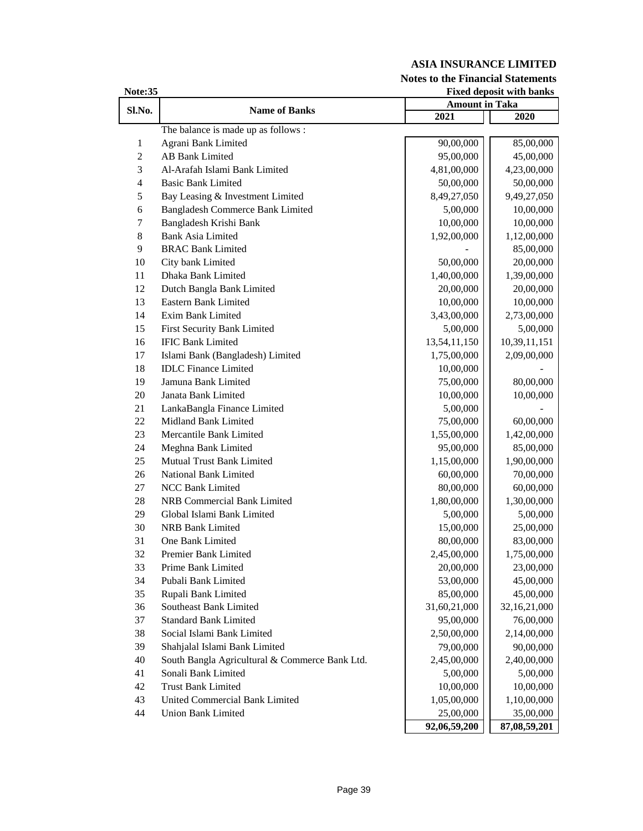**Notes to the Financial Statements**

| Note:35          | <b>Fixed deposit with banks</b>                |                       |              |  |  |
|------------------|------------------------------------------------|-----------------------|--------------|--|--|
| Sl.No.           | <b>Name of Banks</b>                           | <b>Amount in Taka</b> |              |  |  |
|                  |                                                | 2021                  | 2020         |  |  |
|                  | The balance is made up as follows :            |                       |              |  |  |
| 1                | Agrani Bank Limited                            | 90,00,000             | 85,00,000    |  |  |
| $\overline{2}$   | <b>AB Bank Limited</b>                         | 95,00,000             | 45,00,000    |  |  |
| 3                | Al-Arafah Islami Bank Limited                  | 4,81,00,000           | 4,23,00,000  |  |  |
| $\overline{4}$   | <b>Basic Bank Limited</b>                      | 50,00,000             | 50,00,000    |  |  |
| 5                | Bay Leasing & Investment Limited               | 8,49,27,050           | 9,49,27,050  |  |  |
| 6                | Bangladesh Commerce Bank Limited               | 5,00,000              | 10,00,000    |  |  |
| $\boldsymbol{7}$ | Bangladesh Krishi Bank                         | 10,00,000             | 10,00,000    |  |  |
| $\,8\,$          | <b>Bank Asia Limited</b>                       | 1,92,00,000           | 1,12,00,000  |  |  |
| 9                | <b>BRAC Bank Limited</b>                       |                       | 85,00,000    |  |  |
| 10               | City bank Limited                              | 50,00,000             | 20,00,000    |  |  |
| 11               | Dhaka Bank Limited                             | 1,40,00,000           | 1,39,00,000  |  |  |
| 12               | Dutch Bangla Bank Limited                      | 20,00,000             | 20,00,000    |  |  |
| 13               | Eastern Bank Limited                           | 10,00,000             | 10,00,000    |  |  |
| 14               | Exim Bank Limited                              | 3,43,00,000           | 2,73,00,000  |  |  |
| 15               | First Security Bank Limited                    | 5,00,000              | 5,00,000     |  |  |
| 16               | <b>IFIC Bank Limited</b>                       | 13,54,11,150          | 10,39,11,151 |  |  |
| 17               | Islami Bank (Bangladesh) Limited               | 1,75,00,000           | 2,09,00,000  |  |  |
| 18               | <b>IDLC</b> Finance Limited                    | 10,00,000             |              |  |  |
| 19               | Jamuna Bank Limited                            | 75,00,000             | 80,00,000    |  |  |
| 20               | Janata Bank Limited                            | 10,00,000             | 10,00,000    |  |  |
| 21               | LankaBangla Finance Limited                    | 5,00,000              |              |  |  |
| 22               | Midland Bank Limited                           | 75,00,000             | 60,00,000    |  |  |
| 23               | Mercantile Bank Limited                        | 1,55,00,000           | 1,42,00,000  |  |  |
| 24               | Meghna Bank Limited                            | 95,00,000             | 85,00,000    |  |  |
| 25               | Mutual Trust Bank Limited                      | 1,15,00,000           | 1,90,00,000  |  |  |
| 26               | National Bank Limited                          | 60,00,000             | 70,00,000    |  |  |
| 27               | <b>NCC Bank Limited</b>                        | 80,00,000             | 60,00,000    |  |  |
| 28               | <b>NRB Commercial Bank Limited</b>             | 1,80,00,000           | 1,30,00,000  |  |  |
| 29               | Global Islami Bank Limited                     | 5,00,000              | 5,00,000     |  |  |
| 30               | <b>NRB Bank Limited</b>                        | 15,00,000             | 25,00,000    |  |  |
| 31               | One Bank Limited                               | 80,00,000             | 83,00,000    |  |  |
| 32               | <b>Premier Bank Limited</b>                    | 2,45,00,000           | 1,75,00,000  |  |  |
| 33               | Prime Bank Limited                             | 20,00,000             | 23,00,000    |  |  |
| 34               | Pubali Bank Limited                            | 53,00,000             | 45,00,000    |  |  |
| 35               | Rupali Bank Limited                            | 85,00,000             | 45,00,000    |  |  |
| 36               | Southeast Bank Limited                         | 31,60,21,000          | 32,16,21,000 |  |  |
| 37               | <b>Standard Bank Limited</b>                   | 95,00,000             | 76,00,000    |  |  |
| 38               | Social Islami Bank Limited                     | 2,50,00,000           | 2,14,00,000  |  |  |
| 39               | Shahjalal Islami Bank Limited                  | 79,00,000             | 90,00,000    |  |  |
| 40               | South Bangla Agricultural & Commerce Bank Ltd. | 2,45,00,000           | 2,40,00,000  |  |  |
| 41               | Sonali Bank Limited                            | 5,00,000              | 5,00,000     |  |  |
| 42               | <b>Trust Bank Limited</b>                      | 10,00,000             | 10,00,000    |  |  |
| 43               | United Commercial Bank Limited                 | 1,05,00,000           | 1,10,00,000  |  |  |
| 44               | <b>Union Bank Limited</b>                      | 25,00,000             | 35,00,000    |  |  |
|                  |                                                | 92,06,59,200          | 87,08,59,201 |  |  |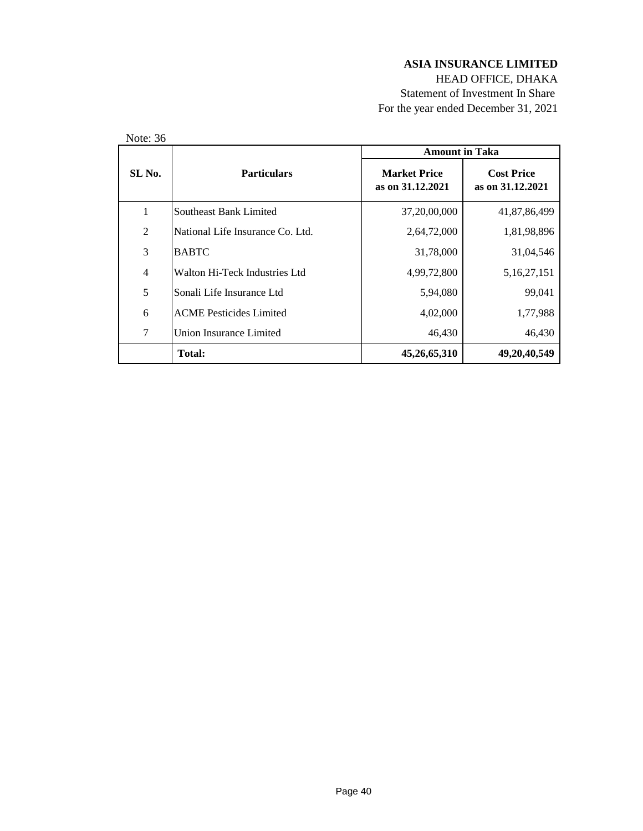HEAD OFFICE, DHAKA Statement of Investment In Share For the year ended December 31, 2021

| Note: 36       |                                  | <b>Amount in Taka</b>                   |                                       |
|----------------|----------------------------------|-----------------------------------------|---------------------------------------|
| SL No.         | <b>Particulars</b>               | <b>Market Price</b><br>as on 31.12.2021 | <b>Cost Price</b><br>as on 31.12.2021 |
| 1              | Southeast Bank Limited           | 37,20,00,000                            | 41,87,86,499                          |
| $\overline{2}$ | National Life Insurance Co. Ltd. | 2,64,72,000                             | 1,81,98,896                           |
| 3              | <b>BABTC</b>                     | 31,78,000                               | 31,04,546                             |
| $\overline{4}$ | Walton Hi-Teck Industries Ltd    | 4,99,72,800                             | 5, 16, 27, 151                        |
| 5              | Sonali Life Insurance Ltd        | 5,94,080                                | 99,041                                |
| 6              | <b>ACME Pesticides Limited</b>   | 4,02,000                                | 1,77,988                              |
| 7              | Union Insurance Limited          | 46,430                                  | 46,430                                |
|                | <b>Total:</b>                    | 45,26,65,310                            | 49, 20, 40, 549                       |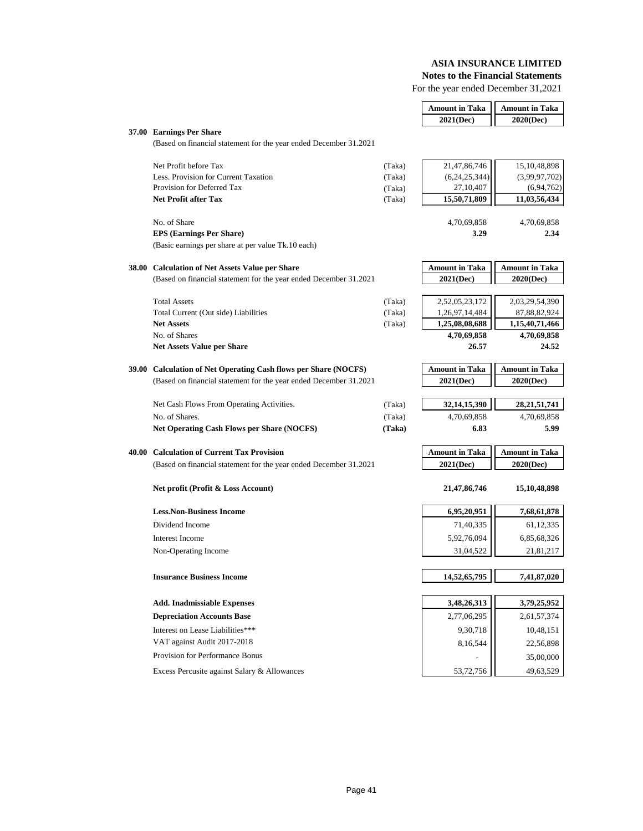**Notes to the Financial Statements**

For the year ended December 31,2021

|                                                                   |        | <b>Amount in Taka</b> | <b>Amount in Taka</b> |
|-------------------------------------------------------------------|--------|-----------------------|-----------------------|
|                                                                   |        | 2021(Dec)             | 2020(Dec)             |
| 37.00 Earnings Per Share                                          |        |                       |                       |
| (Based on financial statement for the year ended December 31.2021 |        |                       |                       |
| Net Profit before Tax                                             | (Taka) | 21,47,86,746          | 15, 10, 48, 898       |
| Less. Provision for Current Taxation                              | (Taka) | (6,24,25,344)         | (3,99,97,702)         |
| Provision for Deferred Tax                                        | (Taka) | 27,10,407             | (6, 94, 762)          |
| <b>Net Profit after Tax</b>                                       | (Taka) | 15,50,71,809          | 11,03,56,434          |
| No. of Share                                                      |        | 4,70,69,858           | 4,70,69,858           |
| <b>EPS (Earnings Per Share)</b>                                   |        | 3.29                  | 2.34                  |
| (Basic earnings per share at per value Tk.10 each)                |        |                       |                       |
| 38.00 Calculation of Net Assets Value per Share                   |        | <b>Amount in Taka</b> | <b>Amount in Taka</b> |
| (Based on financial statement for the year ended December 31.2021 |        | 2021(Dec)             | 2020(Dec)             |
|                                                                   |        |                       |                       |
| <b>Total Assets</b>                                               | (Taka) | 2,52,05,23,172        | 2,03,29,54,390        |
| Total Current (Out side) Liabilities                              | (Taka) | 1,26,97,14,484        | 87,88,82,924          |
| <b>Net Assets</b>                                                 | (Taka) | 1,25,08,08,688        | 1,15,40,71,466        |
| No. of Shares                                                     |        | 4,70,69,858           | 4,70,69,858           |
| <b>Net Assets Value per Share</b>                                 |        | 26.57                 | 24.52                 |
| 39.00 Calculation of Net Operating Cash flows per Share (NOCFS)   |        | <b>Amount in Taka</b> | <b>Amount in Taka</b> |
| (Based on financial statement for the year ended December 31.2021 |        | 2021(Dec)             | 2020(Dec)             |
| Net Cash Flows From Operating Activities.                         | (Taka) | 32, 14, 15, 390       | 28, 21, 51, 741       |
| No. of Shares.                                                    | (Taka) | 4,70,69,858           | 4,70,69,858           |
| <b>Net Operating Cash Flows per Share (NOCFS)</b>                 | (Taka) | 6.83                  | 5.99                  |
|                                                                   |        |                       |                       |
| 40.00 Calculation of Current Tax Provision                        |        | <b>Amount in Taka</b> | <b>Amount in Taka</b> |
| (Based on financial statement for the year ended December 31.2021 |        | 2021(Dec)             | 2020(Dec)             |
| Net profit (Profit & Loss Account)                                |        | 21, 47, 86, 746       | 15,10,48,898          |
|                                                                   |        |                       |                       |
| <b>Less.Non-Business Income</b>                                   |        | 6,95,20,951           | 7,68,61,878           |
| Dividend Income                                                   |        | 71,40,335             | 61, 12, 335           |
| <b>Interest Income</b>                                            |        | 5,92,76,094           | 6,85,68,326           |
| Non-Operating Income                                              |        | 31,04,522             | 21,81,217             |
|                                                                   |        |                       |                       |
| <b>Insurance Business Income</b>                                  |        | 14,52,65,795          | 7,41,87,020           |
| <b>Add. Inadmissiable Expenses</b>                                |        | 3,48,26,313           | 3,79,25,952           |
| <b>Depreciation Accounts Base</b>                                 |        | 2,77,06,295           | 2,61,57,374           |
| Interest on Lease Liabilities***                                  |        | 9,30,718              | 10,48,151             |
| VAT against Audit 2017-2018                                       |        | 8,16,544              | 22,56,898             |
| Provision for Performance Bonus                                   |        |                       | 35,00,000             |
| Excess Percusite against Salary & Allowances                      |        | 53,72,756             | 49,63,529             |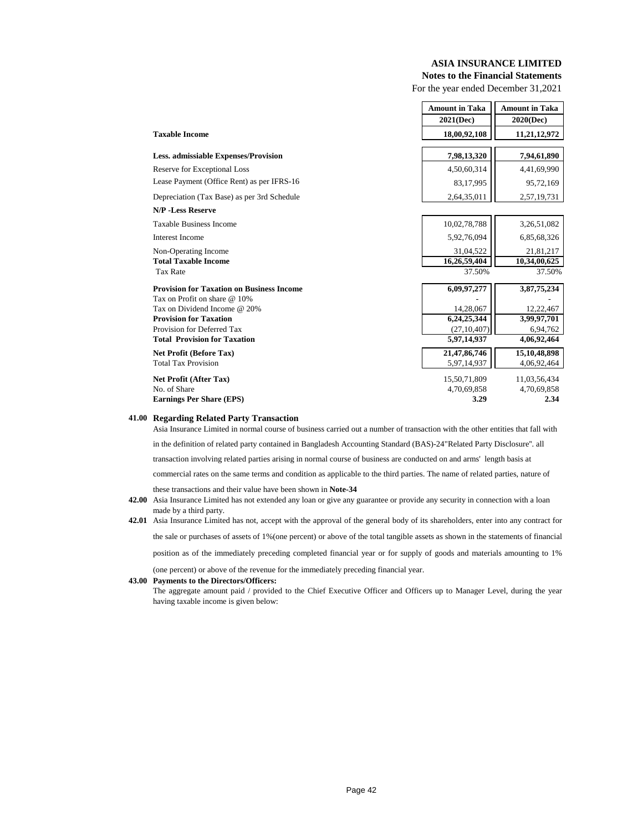## **Notes to the Financial Statements**

For the year ended December 31,2021

|                                                  | <b>Amount in Taka</b> | <b>Amount in Taka</b> |
|--------------------------------------------------|-----------------------|-----------------------|
|                                                  | 2021(Dec)             | 2020(Dec)             |
| <b>Taxable Income</b>                            | 18,00,92,108          | 11,21,12,972          |
| <b>Less.</b> admissiable Expenses/Provision      | 7,98,13,320           | 7,94,61,890           |
| Reserve for Exceptional Loss                     | 4,50,60,314           | 4,41,69,990           |
| Lease Payment (Office Rent) as per IFRS-16       | 83,17,995             | 95,72,169             |
| Depreciation (Tax Base) as per 3rd Schedule      | 2,64,35,011           | 2,57,19,731           |
| <b>N/P</b> -Less Reserve                         |                       |                       |
| <b>Taxable Business Income</b>                   | 10,02,78,788          | 3,26,51,082           |
| <b>Interest Income</b>                           | 5,92,76,094           | 6,85,68,326           |
| Non-Operating Income                             | 31,04,522             | 21,81,217             |
| <b>Total Taxable Income</b>                      | 16,26,59,404          | 10,34,00,625          |
| <b>Tax Rate</b>                                  | 37.50%                | 37.50%                |
| <b>Provision for Taxation on Business Income</b> | 6,09,97,277           | 3,87,75,234           |
| Tax on Profit on share @ 10%                     |                       |                       |
| Tax on Dividend Income @ 20%                     | 14,28,067             | 12,22,467             |
| <b>Provision for Taxation</b>                    | 6,24,25,344           | 3,99,97,701           |
| Provision for Deferred Tax                       | (27, 10, 407)         | 6,94,762              |
| <b>Total Provision for Taxation</b>              | 5,97,14,937           | 4,06,92,464           |
| <b>Net Profit (Before Tax)</b>                   | 21, 47, 86, 746       | 15,10,48,898          |
| <b>Total Tax Provision</b>                       | 5,97,14,937           | 4,06,92,464           |
| Net Profit (After Tax)                           | 15,50,71,809          | 11,03,56,434          |
| No. of Share                                     | 4,70,69,858           | 4,70,69,858           |
| <b>Earnings Per Share (EPS)</b>                  | 3.29                  | 2.34                  |

#### **41.00 Regarding Related Party Transaction**

Asia Insurance Limited in normal course of business carried out a number of transaction with the other entities that fall with in the definition of related party contained in Bangladesh Accounting Standard (BAS)-24"Related Party Disclosure''. all transaction involving related parties arising in normal course of business are conducted on and arms' length basis at commercial rates on the same terms and condition as applicable to the third parties. The name of related parties, nature of these transactions and their value have been shown in **Note-34**

position as of the immediately preceding completed financial year or for supply of goods and materials amounting to 1%

(one percent) or above of the revenue for the immediately preceding financial year.

#### **43.00 Payments to the Directors/Officers:**

The aggregate amount paid / provided to the Chief Executive Officer and Officers up to Manager Level, during the year having taxable income is given below:

 **<sup>42.00</sup>** Asia Insurance Limited has not extended any loan or give any guarantee or provide any security in connection with a loan made by a third party.

 **<sup>42.01</sup>** Asia Insurance Limited has not, accept with the approval of the general body of its shareholders, enter into any contract for the sale or purchases of assets of 1%(one percent) or above of the total tangible assets as shown in the statements of financial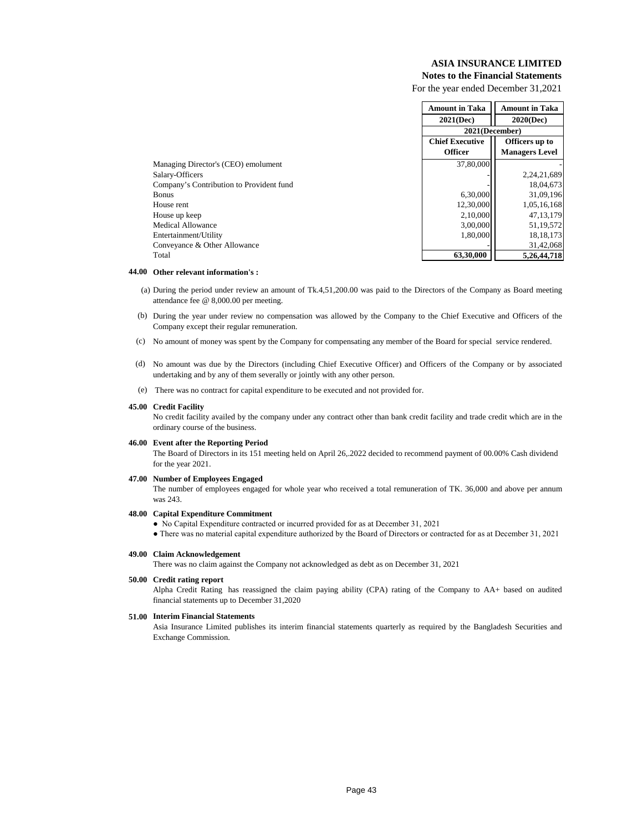## **Notes to the Financial Statements**

For the year ended December 31,2021

|                                          | <b>Amount in Taka</b>                    | <b>Amount in Taka</b> |  |
|------------------------------------------|------------------------------------------|-----------------------|--|
|                                          | 2021(Dec)                                | $2020$ (Dec)          |  |
|                                          | 2021(December)                           |                       |  |
|                                          | <b>Chief Executive</b><br>Officers up to |                       |  |
|                                          | <b>Officer</b>                           | <b>Managers Level</b> |  |
| Managing Director's (CEO) emolument      | 37,80,000                                |                       |  |
| Salary-Officers                          |                                          | 2,24,21,689           |  |
| Company's Contribution to Provident fund |                                          | 18,04,673             |  |
| <b>Bonus</b>                             | 6,30,000                                 | 31,09,196             |  |
| House rent                               | 12,30,000                                | 1,05,16,168           |  |
| House up keep                            | 2,10,000                                 | 47, 13, 179           |  |
| Medical Allowance                        | 3,00,000                                 | 51,19,572             |  |
| Entertainment/Utility                    | 1.80.000                                 | 18, 18, 173           |  |
| Conveyance & Other Allowance             |                                          | 31,42,068             |  |
| Total                                    | 63,30,000                                | 5.26.44.718           |  |

#### **44.00 Other relevant information's :**

- (a) During the period under review an amount of Tk.4,51,200.00 was paid to the Directors of the Company as Board meeting attendance fee @ 8,000.00 per meeting.
- (b) During the year under review no compensation was allowed by the Company to the Chief Executive and Officers of the Company except their regular remuneration.
- (c) No amount of money was spent by the Company for compensating any member of the Board for special service rendered.
- (d) No amount was due by the Directors (including Chief Executive Officer) and Officers of the Company or by associated undertaking and by any of them severally or jointly with any other person.
- (e) There was no contract for capital expenditure to be executed and not provided for.

#### **45.00 Credit Facility**

No credit facility availed by the company under any contract other than bank credit facility and trade credit which are in the ordinary course of the business.

#### **46.00 Event after the Reporting Period**

The Board of Directors in its 151 meeting held on April 26,.2022 decided to recommend payment of 00.00% Cash dividend for the year 2021.

#### **47.00 Number of Employees Engaged**

The number of employees engaged for whole year who received a total remuneration of TK. 36,000 and above per annum was 243.

#### **48.00 Capital Expenditure Commitment**

● No Capital Expenditure contracted or incurred provided for as at December 31, 2021

● There was no material capital expenditure authorized by the Board of Directors or contracted for as at December 31, 2021

#### **49.00 Claim Acknowledgement**

There was no claim against the Company not acknowledged as debt as on December 31, 2021

#### **50.00 Credit rating report**

Alpha Credit Rating has reassigned the claim paying ability (CPA) rating of the Company to AA+ based on audited financial statements up to December 31,2020

#### **51.00 Interim Financial Statements**

Asia Insurance Limited publishes its interim financial statements quarterly as required by the Bangladesh Securities and Exchange Commission.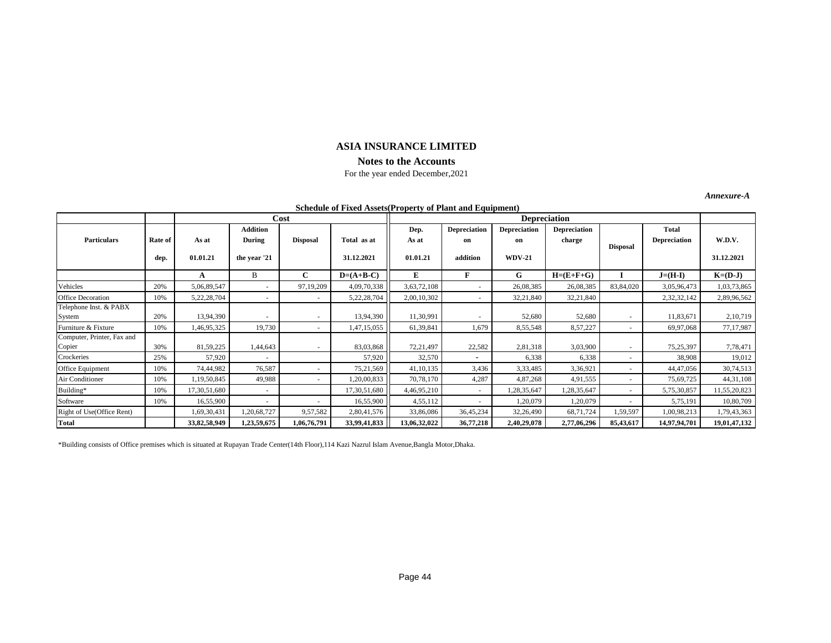## **ASIA INSURANCE LIMITED Notes to the Accounts**

## For the year ended December,2021

*Annexure-A*

| <b>Schedule of Fixed Assets (Property of Plant and Equipment)</b> |                 |                   |                                           |                          |                           |                           |                                       |                                            |                               |                 |                                     |                      |
|-------------------------------------------------------------------|-----------------|-------------------|-------------------------------------------|--------------------------|---------------------------|---------------------------|---------------------------------------|--------------------------------------------|-------------------------------|-----------------|-------------------------------------|----------------------|
|                                                                   |                 |                   |                                           | Cost                     |                           | <b>Depreciation</b>       |                                       |                                            |                               |                 |                                     |                      |
| <b>Particulars</b>                                                | Rate of<br>dep. | As at<br>01.01.21 | <b>Addition</b><br>During<br>the year '21 | <b>Disposal</b>          | Total as at<br>31.12.2021 | Dep.<br>As at<br>01.01.21 | <b>Depreciation</b><br>on<br>addition | <b>Depreciation</b><br>on<br><b>WDV-21</b> | <b>Depreciation</b><br>charge | <b>Disposal</b> | <b>Total</b><br><b>Depreciation</b> | W.D.V.<br>31.12.2021 |
|                                                                   |                 | A                 | В                                         | C                        | $D=(A+B-C)$               | E                         | F                                     | G                                          | $H=(E+F+G)$                   |                 | $J=(H-I)$                           | $K=(D-J)$            |
| Vehicles                                                          | 20%             | 5,06,89,547       | $\overline{\phantom{a}}$                  | 97,19,209                | 4,09,70,338               | 3,63,72,108               |                                       | 26,08,385                                  | 26,08,385                     | 83,84,020       | 3,05,96,473                         | 1,03,73,865          |
| <b>Office Decoration</b>                                          | 10%             | 5,22,28,704       | ٠                                         |                          | 5,22,28,704               | 2,00,10,302               |                                       | 32,21,840                                  | 32,21,840                     |                 | 2,32,32,142                         | 2,89,96,562          |
| Telephone Inst. & PABX<br>System                                  | 20%             | 13,94,390         | ٠                                         |                          | 13,94,390                 | 11,30,991                 |                                       | 52,680                                     | 52,680                        | ٠               | 11,83,671                           | 2,10,719             |
| Furniture & Fixture                                               | 10%             | 1,46,95,325       | 19,730                                    | ٠                        | 1,47,15,055               | 61,39,841                 | 1,679                                 | 8,55,548                                   | 8,57,227                      |                 | 69,97,068                           | 77,17,987            |
| Computer, Printer, Fax and<br>Copier                              | 30%             | 81,59,225         | 1,44,643                                  | $\overline{\phantom{a}}$ | 83,03,868                 | 72,21,497                 | 22,582                                | 2,81,318                                   | 3,03,900                      | ٠               | 75,25,397                           | 7,78,471             |
| Crockeries                                                        | 25%             | 57,920            | $\overline{\phantom{a}}$                  |                          | 57,920                    | 32,570                    | $\overline{\phantom{a}}$              | 6,338                                      | 6,338                         |                 | 38,908                              | 19,012               |
| Office Equipment                                                  | 10%             | 74,44,982         | 76,587                                    |                          | 75,21,569                 | 41, 10, 135               | 3,436                                 | 3,33,485                                   | 3,36,921                      |                 | 44,47,056                           | 30,74,513            |
| Air Conditioner                                                   | 10%             | 1,19,50,845       | 49,988                                    |                          | 1,20,00,833               | 70,78,170                 | 4,287                                 | 4,87,268                                   | 4,91,555                      |                 | 75,69,725                           | 44, 31, 108          |
| Building*                                                         | 10%             | 17,30,51,680      | $\sim$                                    |                          | 17,30,51,680              | 4,46,95,210               | $\sim$                                | 1,28,35,647                                | 1,28,35,647                   |                 | 5,75,30,857                         | 11,55,20,823         |
| Software                                                          | 10%             | 16,55,900         | $\overline{\phantom{a}}$                  | ٠                        | 16,55,900                 | 4,55,112                  | $\sim$                                | 1,20,079                                   | 1,20,079                      | ۰               | 5,75,191                            | 10,80,709            |
| Right of Use(Office Rent)                                         |                 | 1,69,30,431       | 1,20,68,727                               | 9,57,582                 | 2,80,41,576               | 33,86,086                 | 36,45,234                             | 32,26,490                                  | 68,71,724                     | 1,59,597        | 1,00,98,213                         | 1,79,43,363          |
| Total                                                             |                 | 33,82,58,949      | 1,23,59,675                               | 1,06,76,791              | 33,99,41,833              | 13,06,32,022              | 36,77,218                             | 2,40,29,078                                | 2,77,06,296                   | 85,43,617       | 14,97,94,701                        | 19,01,47,132         |

\*Building consists of Office premises which is situated at Rupayan Trade Center(14th Floor),114 Kazi Nazrul Islam Avenue,Bangla Motor,Dhaka.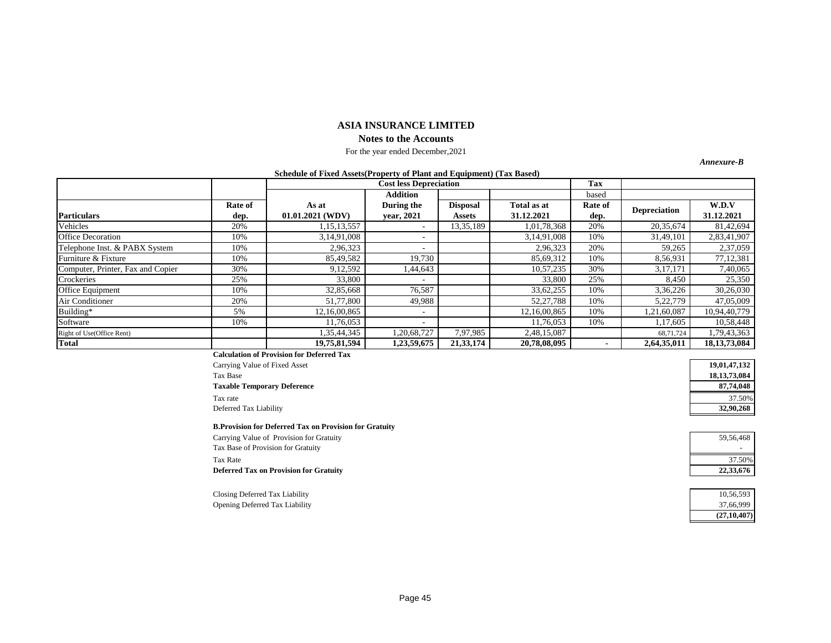#### **ASIA INSURANCE LIMITED Notes to the Accounts**

#### For the year ended December,2021

*Annexure-B*

#### **Schedule of Fixed Assets(Property of Plant and Equipment) (Tax Based)**

|                                   |                      |                                                                                                            | <b>Cost less Depreciation</b> |                 |              | Tax     |                     |                 |
|-----------------------------------|----------------------|------------------------------------------------------------------------------------------------------------|-------------------------------|-----------------|--------------|---------|---------------------|-----------------|
|                                   |                      |                                                                                                            | <b>Addition</b>               |                 |              | based   |                     |                 |
|                                   | Rate of              | As at                                                                                                      | During the                    | <b>Disposal</b> | Total as at  | Rate of |                     | W.D.V           |
| <b>Particulars</b>                | dep.                 | $01.01.2021$ (WDV)                                                                                         | vear, 2021                    | Assets          | 31.12.2021   | dep.    | <b>Depreciation</b> | 31.12.2021      |
| Vehicles                          | 20%                  | 1, 15, 13, 557                                                                                             |                               | 13,35,189       | 1,01,78,368  | 20%     | 20,35,674           | 81,42,694       |
| <b>Office Decoration</b>          | 10%                  | 3,14,91,008                                                                                                |                               |                 | 3,14,91,008  | 10%     | 31,49,101           | 2,83,41,907     |
| Telephone Inst. & PABX System     | 10%                  | 2,96,323                                                                                                   |                               |                 | 2,96,323     | 20%     | 59,265              | 2,37,059        |
| Furniture & Fixture               | 10%                  | 85,49,582                                                                                                  | 19,730                        |                 | 85,69,312    | 10%     | 8,56,931            | 77,12,381       |
| Computer, Printer, Fax and Copier | 30%                  | 9,12,592                                                                                                   | 1,44,643                      |                 | 10,57,235    | 30%     | 3,17,171            | 7,40,065        |
| Crockeries                        | 25%                  | 33,800                                                                                                     |                               |                 | 33,800       | 25%     | 8,450               | 25,350          |
| Office Equipment                  | 10%                  | 32,85,668                                                                                                  | 76,587                        |                 | 33,62,255    | 10%     | 3,36,226            | 30,26,030       |
| Air Conditioner                   | 20%                  | 51,77,800                                                                                                  | 49,988                        |                 | 52, 27, 788  | 10%     | 5,22,779            | 47,05,009       |
| Building*                         | 5%                   | 12,16,00,865                                                                                               |                               |                 | 12,16,00,865 | 10%     | 1,21,60,087         | 10,94,40,779    |
| Software                          | 10%                  | 11,76,053                                                                                                  |                               |                 | 11.76.053    | 10%     | 17,605              | 10,58,448       |
| Right of Use(Office Rent)         |                      | 1,35,44,345                                                                                                | 1,20,68,727                   | 7,97,985        | 2,48,15,087  |         | 68,71,724           | 1,79,43,363     |
| <b>Total</b>                      | $\sim$ $\sim$ $\sim$ | 19,75,81,594<br>$\mathbf{a}$ $\mathbf{b}$ $\mathbf{c}$ $\mathbf{c}$ $\mathbf{d}$ $\mathbf{b}$ $\mathbf{c}$ | 1,23,59,675                   | 21,33,174       | 20,78,08,095 |         | 2,64,35,011         | 18, 13, 73, 084 |

**Calculation of Provision for Deferred Tax** 

Carrying Value of Fixed Asset Tax Base **18,13,73,084 Taxable Temporary Deference 87,74,048** Tax rate 37.50% and 37.50% and 37.50% and 37.50% and 37.50% and 37.50% and 37.50% and 37.50% and 37.50% and 37.50% and 37.50% and 37.50% and 37.50% and 37.50% and 37.50% and 37.50% and 37.50% and 37.50% and 37.50% and 37.5 Deferred Tax Liability **32,90,268**

#### **B.Provision for Deferred Tax on Provision for Gratuity**

| Carrying Value of Provision for Gratuity | 59.56.468 |
|------------------------------------------|-----------|
| Tax Base of Provision for Gratuity       |           |
| Tax Rate                                 | 37.50%    |
| Deferred Tax on Provision for Gratuity   | 22,33,676 |

Closing Deferred Tax Liability Opening Deferred Tax Liability 37,66,999

| 19,01,47,132    |
|-----------------|
| 18, 13, 73, 084 |
| 87,74,048       |
| 37.50%          |
| 32,90,268       |

| 59,56,468 |
|-----------|
|           |
|           |
| 37.50%    |

| (27, 10, 407) |
|---------------|
| 37,66,999     |
| 10,56,593     |
|               |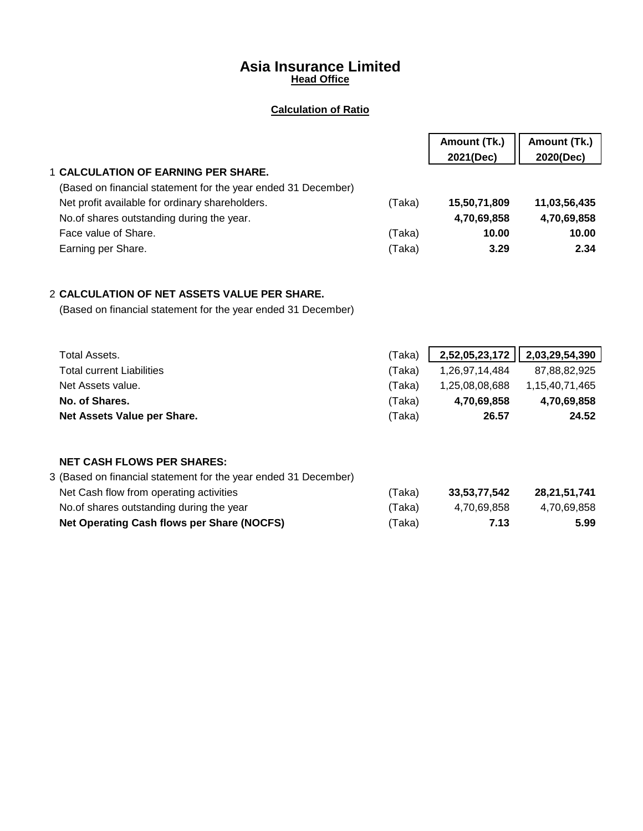# **Asia Insurance Limited Head Office**

## **Calculation of Ratio**

|                                                               |        | Amount (Tk.)<br>2021(Dec) | Amount (Tk.)<br>2020(Dec) |
|---------------------------------------------------------------|--------|---------------------------|---------------------------|
| <b>1 CALCULATION OF EARNING PER SHARE.</b>                    |        |                           |                           |
| (Based on financial statement for the year ended 31 December) |        |                           |                           |
| Net profit available for ordinary shareholders.               | 'Taka) | 15,50,71,809              | 11,03,56,435              |
| No. of shares outstanding during the year.                    |        | 4,70,69,858               | 4,70,69,858               |
| Face value of Share.                                          | (Taka) | 10.00                     | 10.00                     |
| Earning per Share.                                            | (Taka) | 3.29                      | 2.34                      |

# 2 **CALCULATION OF NET ASSETS VALUE PER SHARE.**

(Based on financial statement for the year ended 31 December)

| Total Assets.                    | (Taka) | $2,52,05,23,172$   $2,03,29,54,390$ |                |
|----------------------------------|--------|-------------------------------------|----------------|
| <b>Total current Liabilities</b> | (Taka) | 1,26,97,14,484                      | 87.88.82.925   |
| Net Assets value.                | (Taka) | 1,25,08,08,688                      | 1,15,40,71,465 |
| No. of Shares.                   | (Taka) | 4,70,69,858                         | 4,70,69,858    |
| Net Assets Value per Share.      | (Taka) | 26.57                               | 24.52          |

# **NET CASH FLOWS PER SHARES:**

| 3 (Based on financial statement for the year ended 31 December) |       |              |              |
|-----------------------------------------------------------------|-------|--------------|--------------|
| Net Cash flow from operating activities                         | Taka) | 33.53.77.542 | 28.21.51.741 |
| No. of shares outstanding during the year                       | Taka) | 4.70.69.858  | 4,70,69,858  |
| Net Operating Cash flows per Share (NOCFS)                      | Taka) | 7.13         | 5.99         |